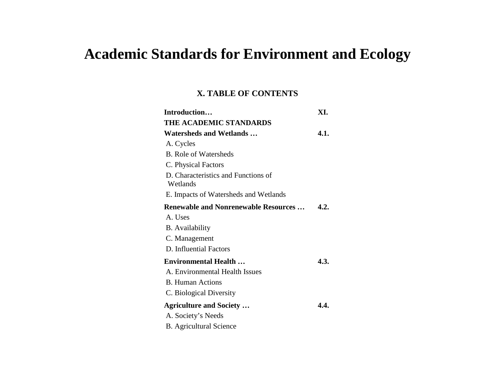# **Academic Standards for Environment and Ecology**

#### **X. TABLE OF CONTENTS**

| Introduction                                    | XI.  |
|-------------------------------------------------|------|
| THE ACADEMIC STANDARDS                          |      |
| <b>Watersheds and Wetlands</b>                  | 4.1. |
| A. Cycles                                       |      |
| <b>B.</b> Role of Watersheds                    |      |
| C. Physical Factors                             |      |
| D. Characteristics and Functions of<br>Wetlands |      |
| E. Impacts of Watersheds and Wetlands           |      |
| <b>Renewable and Nonrenewable Resources</b>     | 4.2. |
| A. Uses                                         |      |
| <b>B.</b> Availability                          |      |
| C. Management                                   |      |
| D. Influential Factors                          |      |
| <b>Environmental Health</b>                     | 4.3. |
| A. Environmental Health Issues                  |      |
| <b>B.</b> Human Actions                         |      |
| C. Biological Diversity                         |      |
| <b>Agriculture and Society </b>                 | 4.4. |
| A. Society's Needs                              |      |
| <b>B.</b> Agricultural Science                  |      |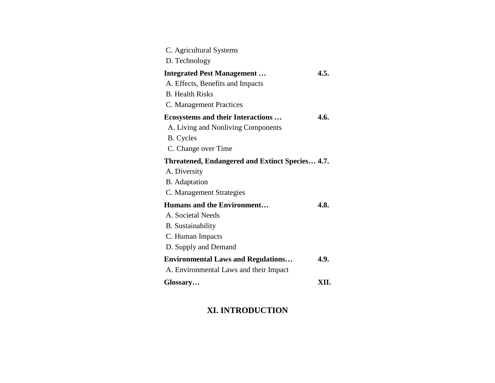| C. Agricultural Systems                         |      |
|-------------------------------------------------|------|
| D. Technology                                   |      |
| <b>Integrated Pest Management</b>               | 4.5. |
| A. Effects, Benefits and Impacts                |      |
| <b>B.</b> Health Risks                          |      |
| C. Management Practices                         |      |
| <b>Ecosystems and their Interactions</b>        | 4.6. |
| A. Living and Nonliving Components              |      |
| <b>B.</b> Cycles                                |      |
| C. Change over Time                             |      |
| Threatened, Endangered and Extinct Species 4.7. |      |
| A. Diversity                                    |      |
| <b>B.</b> Adaptation                            |      |
| C. Management Strategies                        |      |
| <b>Humans and the Environment</b>               | 4.8. |
| A. Societal Needs                               |      |
| <b>B.</b> Sustainability                        |      |
| C. Human Impacts                                |      |
| D. Supply and Demand                            |      |
| <b>Environmental Laws and Regulations</b>       | 4.9. |
| A. Environmental Laws and their Impact          |      |
| Glossary                                        | XII. |

## **XI. INTRODUCTION**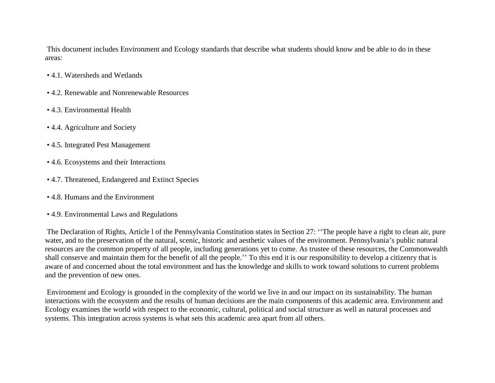This document includes Environment and Ecology standards that describe what students should know and be able to do in these areas:

- 4.1. Watersheds and Wetlands
- 4.2. Renewable and Nonrenewable Resources
- 4.3. Environmental Health
- 4.4. Agriculture and Society
- 4.5. Integrated Pest Management
- 4.6. Ecosystems and their Interactions
- 4.7. Threatened, Endangered and Extinct Species
- 4.8. Humans and the Environment
- 4.9. Environmental Laws and Regulations

The Declaration of Rights, Article l of the Pennsylvania Constitution states in Section 27: ''The people have a right to clean air, pure water, and to the preservation of the natural, scenic, historic and aesthetic values of the environment. Pennsylvania's public natural resources are the common property of all people, including generations yet to come. As trustee of these resources, the Commonwealth shall conserve and maintain them for the benefit of all the people.'' To this end it is our responsibility to develop a citizenry that is aware of and concerned about the total environment and has the knowledge and skills to work toward solutions to current problems and the prevention of new ones.

Environment and Ecology is grounded in the complexity of the world we live in and our impact on its sustainability. The human interactions with the ecosystem and the results of human decisions are the main components of this academic area. Environment and Ecology examines the world with respect to the economic, cultural, political and social structure as well as natural processes and systems. This integration across systems is what sets this academic area apart from all others.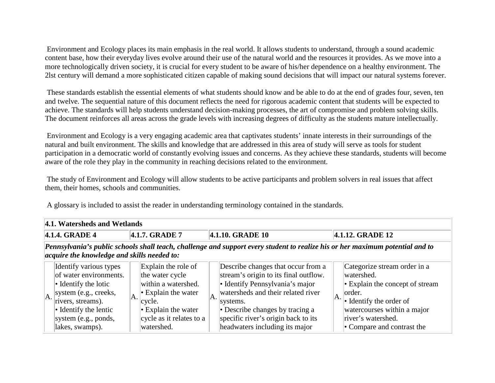Environment and Ecology places its main emphasis in the real world. It allows students to understand, through a sound academic content base, how their everyday lives evolve around their use of the natural world and the resources it provides. As we move into a more technologically driven society, it is crucial for every student to be aware of his/her dependence on a healthy environment. The 2lst century will demand a more sophisticated citizen capable of making sound decisions that will impact our natural systems forever.

These standards establish the essential elements of what students should know and be able to do at the end of grades four, seven, ten and twelve. The sequential nature of this document reflects the need for rigorous academic content that students will be expected to achieve. The standards will help students understand decision-making processes, the art of compromise and problem solving skills. The document reinforces all areas across the grade levels with increasing degrees of difficulty as the students mature intellectually.

Environment and Ecology is a very engaging academic area that captivates students' innate interests in their surroundings of the natural and built environment. The skills and knowledge that are addressed in this area of study will serve as tools for student participation in a democratic world of constantly evolving issues and concerns. As they achieve these standards, students will become aware of the role they play in the community in reaching decisions related to the environment.

The study of Environment and Ecology will allow students to be active participants and problem solvers in real issues that affect them, their homes, schools and communities.

A glossary is included to assist the reader in understanding terminology contained in the standards.

|                                                                 | 4.1. Watersheds and Wetlands                                                                                                                                                                               |    |                                                                                                                                                                             |    |                                                                                                                                                                                                                                                                              |  |                                                                                                                                                                                                               |  |  |  |  |
|-----------------------------------------------------------------|------------------------------------------------------------------------------------------------------------------------------------------------------------------------------------------------------------|----|-----------------------------------------------------------------------------------------------------------------------------------------------------------------------------|----|------------------------------------------------------------------------------------------------------------------------------------------------------------------------------------------------------------------------------------------------------------------------------|--|---------------------------------------------------------------------------------------------------------------------------------------------------------------------------------------------------------------|--|--|--|--|
| $ 4.1.4. \text{GRADE } 4$<br>4.1.7. GRADE 7<br>4.1.10. GRADE 10 |                                                                                                                                                                                                            |    |                                                                                                                                                                             |    |                                                                                                                                                                                                                                                                              |  | 4.1.12. GRADE 12                                                                                                                                                                                              |  |  |  |  |
|                                                                 | Pennsylvania's public schools shall teach, challenge and support every student to realize his or her maximum potential and to<br>acquire the knowledge and skills needed to:                               |    |                                                                                                                                                                             |    |                                                                                                                                                                                                                                                                              |  |                                                                                                                                                                                                               |  |  |  |  |
| A.                                                              | Identify various types<br>of water environments.<br>$\cdot$ Identify the lotic<br>system (e.g., creeks,<br>rivers, streams).<br>$\bullet$ Identify the lentic<br>system $(e.g.,$ ponds,<br>lakes, swamps). | A. | Explain the role of<br>the water cycle<br>within a watershed.<br>$\cdot$ Explain the water<br>cycle.<br>$\cdot$ Explain the water<br>cycle as it relates to a<br>watershed. | A. | Describe changes that occur from a<br>stream's origin to its final outflow.<br>• Identify Pennsylvania's major<br>watersheds and their related river<br>systems.<br>• Describe changes by tracing a<br>specific river's origin back to its<br>headwaters including its major |  | Categorize stream order in a<br>watershed.<br>• Explain the concept of stream<br>order.<br>$\bullet$ Identify the order of<br>watercourses within a major<br>river's watershed.<br>• Compare and contrast the |  |  |  |  |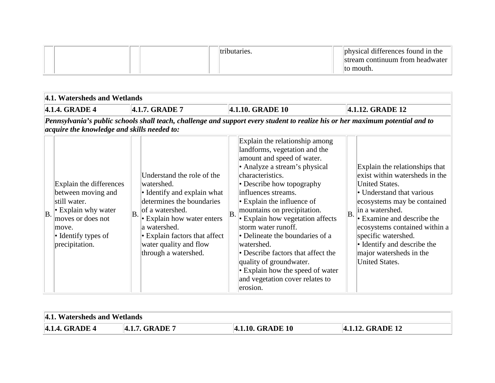|  |  | "tributaries. | physical differences found in the |
|--|--|---------------|-----------------------------------|
|  |  |               | stream continuum from headwater   |
|  |  |               | Ito mouth.                        |

|    | 4.1. Watersheds and Wetlands                                                                                                                                                 |    |                                                                                                                                                                                                                                                          |                  |                                                                                                                                                                                                                                                                                                                                                                                                                                                                                                                                           |    |                                                                                                                                                                                                                                                                                                                                                   |  |  |  |
|----|------------------------------------------------------------------------------------------------------------------------------------------------------------------------------|----|----------------------------------------------------------------------------------------------------------------------------------------------------------------------------------------------------------------------------------------------------------|------------------|-------------------------------------------------------------------------------------------------------------------------------------------------------------------------------------------------------------------------------------------------------------------------------------------------------------------------------------------------------------------------------------------------------------------------------------------------------------------------------------------------------------------------------------------|----|---------------------------------------------------------------------------------------------------------------------------------------------------------------------------------------------------------------------------------------------------------------------------------------------------------------------------------------------------|--|--|--|
|    | 4.1.4. GRADE 4                                                                                                                                                               |    | 4.1.7. GRADE 7                                                                                                                                                                                                                                           | 4.1.10. GRADE 10 |                                                                                                                                                                                                                                                                                                                                                                                                                                                                                                                                           |    | 4.1.12. GRADE 12                                                                                                                                                                                                                                                                                                                                  |  |  |  |
|    | Pennsylvania's public schools shall teach, challenge and support every student to realize his or her maximum potential and to<br>acquire the knowledge and skills needed to: |    |                                                                                                                                                                                                                                                          |                  |                                                                                                                                                                                                                                                                                                                                                                                                                                                                                                                                           |    |                                                                                                                                                                                                                                                                                                                                                   |  |  |  |
| B. | Explain the differences<br>between moving and<br>still water.<br>$\cdot$ Explain why water<br>moves or does not<br>move.<br>• Identify types of<br>precipitation.            | B. | Understand the role of the<br>watershed.<br>• Identify and explain what<br>determines the boundaries<br>of a watershed.<br>• Explain how water enters<br>a watershed.<br>• Explain factors that affect<br>water quality and flow<br>through a watershed. | B                | Explain the relationship among<br>landforms, vegetation and the<br>amount and speed of water.<br>• Analyze a stream's physical<br>characteristics.<br>• Describe how topography<br>influences streams.<br>$\cdot$ Explain the influence of<br>mountains on precipitation.<br>• Explain how vegetation affects<br>storm water runoff.<br>• Delineate the boundaries of a<br>watershed.<br>• Describe factors that affect the<br>quality of groundwater.<br>• Explain how the speed of water<br>and vegetation cover relates to<br>erosion. | B. | Explain the relationships that<br>exist within watersheds in the<br><b>United States.</b><br>• Understand that various<br>ecosystems may be contained<br>in a watershed.<br>• Examine and describe the<br>ecosystems contained within a<br>specific watershed.<br>• Identify and describe the<br>major watersheds in the<br><b>United States.</b> |  |  |  |

| 4.1. Watersheds and Wetlands |                |                  |                         |  |  |  |  |  |
|------------------------------|----------------|------------------|-------------------------|--|--|--|--|--|
| 4.1.4. GRADE 4               | 4.1.7. GRADE 7 | 4.1.10. GRADE 10 | <b>4.1.12. GRADE 12</b> |  |  |  |  |  |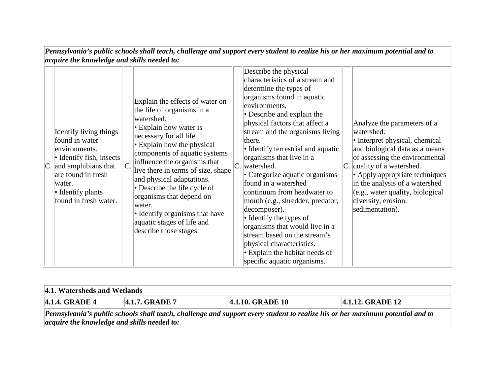| 4.1. Watersheds and Wetlands                                                                                                  |                                             |                         |                      |  |  |  |  |  |  |  |  |
|-------------------------------------------------------------------------------------------------------------------------------|---------------------------------------------|-------------------------|----------------------|--|--|--|--|--|--|--|--|
| $\parallel$ 4.1.4. GRADE 4                                                                                                    | 4.1.7. GRADE 7                              | <b>4.1.10. GRADE 10</b> | $ 4.1.12$ . GRADE 12 |  |  |  |  |  |  |  |  |
| Pennsylvania's public schools shall teach, challenge and support every student to realize his or her maximum potential and to |                                             |                         |                      |  |  |  |  |  |  |  |  |
|                                                                                                                               | acquire the knowledge and skills needed to: |                         |                      |  |  |  |  |  |  |  |  |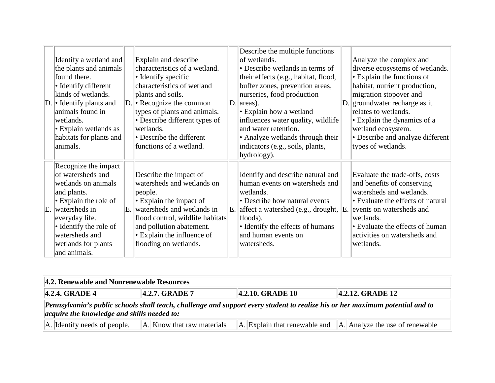| Identify a wetland and<br>the plants and animals<br>found there.<br>• Identify different<br>kinds of wetlands.<br>$ D $ Identify plants and<br>animals found in<br>wetlands.<br>• Explain wetlands as<br>habitats for plants and<br>animals. |    | Explain and describe<br>characteristics of a wetland.<br>$\bullet$ Identify specific<br>characteristics of wetland<br>plants and soils.<br>$ D $ Recognize the common<br>types of plants and animals.<br>$\bullet$ Describe different types of<br>wetlands.<br>• Describe the different<br>functions of a wetland. | Describe the multiple functions<br>of wetlands.<br>• Describe wetlands in terms of<br>their effects (e.g., habitat, flood,<br>buffer zones, prevention areas,<br>nurseries, food production<br>$ D $ areas).<br>$\cdot$ Explain how a wetland<br>influences water quality, wildlife<br>and water retention.<br>• Analyze wetlands through their<br>indicators (e.g., soils, plants,<br>hydrology). | $\mathbb{D}.$ | Analyze the complex and<br>diverse ecosystems of wetlands.<br>$\cdot$ Explain the functions of<br>habitat, nutrient production,<br>migration stopover and<br>groundwater recharge as it<br>relates to wetlands.<br>$\cdot$ Explain the dynamics of a<br>wetland ecosystem.<br>• Describe and analyze different<br>types of wetlands. |
|----------------------------------------------------------------------------------------------------------------------------------------------------------------------------------------------------------------------------------------------|----|--------------------------------------------------------------------------------------------------------------------------------------------------------------------------------------------------------------------------------------------------------------------------------------------------------------------|----------------------------------------------------------------------------------------------------------------------------------------------------------------------------------------------------------------------------------------------------------------------------------------------------------------------------------------------------------------------------------------------------|---------------|--------------------------------------------------------------------------------------------------------------------------------------------------------------------------------------------------------------------------------------------------------------------------------------------------------------------------------------|
| Recognize the impact<br>of watersheds and<br>wetlands on animals<br>and plants.<br>$\cdot$ Explain the role of<br>E. watersheds in<br>everyday life.<br>• Identify the role of<br>watersheds and<br>wetlands for plants<br>and animals.      | E. | Describe the impact of<br>watersheds and wetlands on<br>people.<br>$\cdot$ Explain the impact of<br>watersheds and wetlands in<br>flood control, wildlife habitats<br>and pollution abatement.<br>$\cdot$ Explain the influence of<br>flooding on wetlands.                                                        | Identify and describe natural and<br>human events on watersheds and<br>wetlands.<br>• Describe how natural events<br>E. affect a watershed (e.g., drought,<br>floods).<br>• Identify the effects of humans<br>and human events on<br>watersheds.                                                                                                                                                   | E.            | Evaluate the trade-offs, costs<br>and benefits of conserving<br>watersheds and wetlands.<br>• Evaluate the effects of natural<br>events on watersheds and<br>wetlands.<br>• Evaluate the effects of human<br>activities on watersheds and<br> wetlands.                                                                              |

| 4.2. Renewable and Nonrenewable Resources                                                                                                                                           |                            |  |                                                                           |  |  |  |  |  |  |
|-------------------------------------------------------------------------------------------------------------------------------------------------------------------------------------|----------------------------|--|---------------------------------------------------------------------------|--|--|--|--|--|--|
| 4.2.10. GRADE 10<br>$ 4.2.4. \text{ GRADE } 4$<br><b>4.2.7. GRADE 7</b><br>$ 4.2.12$ . GRADE 12                                                                                     |                            |  |                                                                           |  |  |  |  |  |  |
| Pennsylvania's public schools shall teach, challenge and support every student to realize his or her maximum potential and to<br><i>acquire the knowledge and skills needed to:</i> |                            |  |                                                                           |  |  |  |  |  |  |
| $\ A\ $ Identify needs of people.                                                                                                                                                   | A. Know that raw materials |  | $\ A\ $ Explain that renewable and $\ A\ $ . Analyze the use of renewable |  |  |  |  |  |  |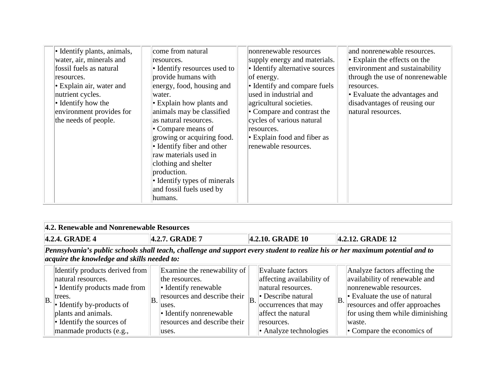| • Identify plants, animals,<br>water, air, minerals and<br>fossil fuels as natural<br>resources.<br>• Explain air, water and<br>nutrient cycles.<br>$\bullet$ Identify how the<br>environment provides for<br>the needs of people. | come from natural<br>resources.<br>• Identify resources used to<br>provide humans with<br>energy, food, housing and<br>water.<br>• Explain how plants and<br>animals may be classified<br>as natural resources.<br>• Compare means of<br>growing or acquiring food.<br>• Identify fiber and other<br>raw materials used in<br>clothing and shelter<br>production.<br>• Identify types of minerals<br>and fossil fuels used by<br>humans. |  | nonrenewable resources<br>supply energy and materials.<br>• Identify alternative sources<br>of energy.<br>• Identify and compare fuels<br>used in industrial and<br>agricultural societies.<br>• Compare and contrast the<br>cycles of various natural<br>resources.<br>• Explain food and fiber as<br>renewable resources. |  | and nonrenewable resources.<br>$\cdot$ Explain the effects on the<br>environment and sustainability<br>through the use of nonrenewable<br>resources.<br>• Evaluate the advantages and<br>disadvantages of reusing our<br>natural resources. |
|------------------------------------------------------------------------------------------------------------------------------------------------------------------------------------------------------------------------------------|------------------------------------------------------------------------------------------------------------------------------------------------------------------------------------------------------------------------------------------------------------------------------------------------------------------------------------------------------------------------------------------------------------------------------------------|--|-----------------------------------------------------------------------------------------------------------------------------------------------------------------------------------------------------------------------------------------------------------------------------------------------------------------------------|--|---------------------------------------------------------------------------------------------------------------------------------------------------------------------------------------------------------------------------------------------|
|------------------------------------------------------------------------------------------------------------------------------------------------------------------------------------------------------------------------------------|------------------------------------------------------------------------------------------------------------------------------------------------------------------------------------------------------------------------------------------------------------------------------------------------------------------------------------------------------------------------------------------------------------------------------------------|--|-----------------------------------------------------------------------------------------------------------------------------------------------------------------------------------------------------------------------------------------------------------------------------------------------------------------------------|--|---------------------------------------------------------------------------------------------------------------------------------------------------------------------------------------------------------------------------------------------|

|                            | 4.2. Renewable and Nonrenewable Resources                                                                                                                                                                           |    |                                                                                                                                                                                    |                  |                                                                                                                                                                                 |    |                                                                                                                                                                                                                                                  |  |  |  |  |
|----------------------------|---------------------------------------------------------------------------------------------------------------------------------------------------------------------------------------------------------------------|----|------------------------------------------------------------------------------------------------------------------------------------------------------------------------------------|------------------|---------------------------------------------------------------------------------------------------------------------------------------------------------------------------------|----|--------------------------------------------------------------------------------------------------------------------------------------------------------------------------------------------------------------------------------------------------|--|--|--|--|
| $ 4.2.4. \text{ GRADE } 4$ |                                                                                                                                                                                                                     |    | 4.2.7. GRADE 7                                                                                                                                                                     | 4.2.10. GRADE 10 |                                                                                                                                                                                 |    | 4.2.12. GRADE 12                                                                                                                                                                                                                                 |  |  |  |  |
|                            | Pennsylvania's public schools shall teach, challenge and support every student to realize his or her maximum potential and to<br>acquire the knowledge and skills needed to:                                        |    |                                                                                                                                                                                    |                  |                                                                                                                                                                                 |    |                                                                                                                                                                                                                                                  |  |  |  |  |
| $\ B\ $                    | Identify products derived from<br>natural resources.<br>• Identify products made from<br>trees.<br>$\bullet$ Identify by-products of<br>plants and animals.<br>• Identify the sources of<br>manmade products (e.g., | B. | Examine the renewability of<br>the resources.<br>• Identify renewable<br>resources and describe their<br>uses.<br>• Identify nonrenewable<br>resources and describe their<br>uses. | $\overline{B}$ . | Evaluate factors<br>affecting availability of<br>natural resources.<br>• Describe natural<br>occurrences that may<br>affect the natural<br>resources.<br>• Analyze technologies | B. | Analyze factors affecting the<br>availability of renewable and<br>nonrenewable resources.<br>• Evaluate the use of natural<br>resources and offer approaches<br>for using them while diminishing<br>waste.<br>$\bullet$ Compare the economics of |  |  |  |  |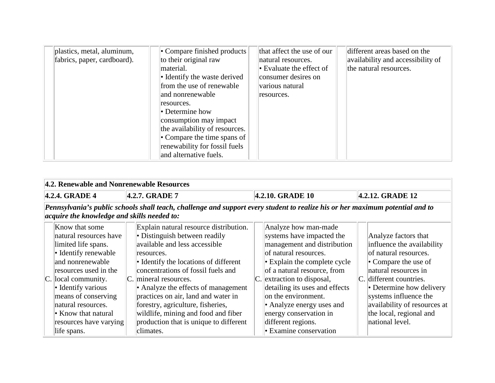| plastics, metal, aluminum,<br>fabrics, paper, cardboard). | • Compare finished products<br>to their original raw<br>material.<br>• Identify the waste derived | that affect the use of our<br>natural resources.<br>$\bullet$ Evaluate the effect of<br>consumer desires on | different areas based on the<br>availability and accessibility of<br>the natural resources. |
|-----------------------------------------------------------|---------------------------------------------------------------------------------------------------|-------------------------------------------------------------------------------------------------------------|---------------------------------------------------------------------------------------------|
|                                                           | from the use of renewable                                                                         | various natural                                                                                             |                                                                                             |
|                                                           | and nonrenewable<br>resources.                                                                    | resources.                                                                                                  |                                                                                             |
|                                                           | $\bullet$ Determine how                                                                           |                                                                                                             |                                                                                             |
|                                                           | consumption may impact<br>the availability of resources.                                          |                                                                                                             |                                                                                             |
|                                                           | • Compare the time spans of                                                                       |                                                                                                             |                                                                                             |
|                                                           | renewability for fossil fuels<br>and alternative fuels.                                           |                                                                                                             |                                                                                             |

| 4.2. Renewable and Nonrenewable Resources                                                                                                                                                                                                                                                         |                                                                                                                                                                                                                                                                                                                                                                                                                                                 |                                                                                                                                                                                                                                                                                                                                                                                 |                                                                                                                                                                                                                                                                                                   |  |  |  |  |  |
|---------------------------------------------------------------------------------------------------------------------------------------------------------------------------------------------------------------------------------------------------------------------------------------------------|-------------------------------------------------------------------------------------------------------------------------------------------------------------------------------------------------------------------------------------------------------------------------------------------------------------------------------------------------------------------------------------------------------------------------------------------------|---------------------------------------------------------------------------------------------------------------------------------------------------------------------------------------------------------------------------------------------------------------------------------------------------------------------------------------------------------------------------------|---------------------------------------------------------------------------------------------------------------------------------------------------------------------------------------------------------------------------------------------------------------------------------------------------|--|--|--|--|--|
| 4.2.4. GRADE 4                                                                                                                                                                                                                                                                                    | 4.2.12. GRADE 12                                                                                                                                                                                                                                                                                                                                                                                                                                |                                                                                                                                                                                                                                                                                                                                                                                 |                                                                                                                                                                                                                                                                                                   |  |  |  |  |  |
| Pennsylvania's public schools shall teach, challenge and support every student to realize his or her maximum potential and to<br>acquire the knowledge and skills needed to:                                                                                                                      |                                                                                                                                                                                                                                                                                                                                                                                                                                                 |                                                                                                                                                                                                                                                                                                                                                                                 |                                                                                                                                                                                                                                                                                                   |  |  |  |  |  |
| Know that some<br>natural resources have<br>limited life spans.<br>• Identify renewable<br>and nonrenewable<br>resources used in the<br>$ C $ local community.<br>• Identify various<br>means of conserving<br>natural resources.<br>• Know that natural<br>resources have varying<br>life spans. | Explain natural resource distribution.<br>• Distinguish between readily<br>available and less accessible<br>resources.<br>• Identify the locations of different<br>concentrations of fossil fuels and<br>C. mineral resources.<br>• Analyze the effects of management<br>practices on air, land and water in<br>forestry, agriculture, fisheries,<br>wildlife, mining and food and fiber<br>production that is unique to different<br>climates. | Analyze how man-made<br>systems have impacted the<br>management and distribution<br>of natural resources.<br>$\cdot$ Explain the complete cycle<br>of a natural resource, from<br>$ C $ extraction to disposal,<br>detailing its uses and effects<br>on the environment.<br>• Analyze energy uses and<br>energy conservation in<br>different regions.<br>• Examine conservation | Analyze factors that<br>influence the availability<br>of natural resources.<br>$\bullet$ Compare the use of<br>natural resources in<br>C. different countries.<br>• Determine how delivery<br>systems influence the<br>availability of resources at<br>the local, regional and<br>national level. |  |  |  |  |  |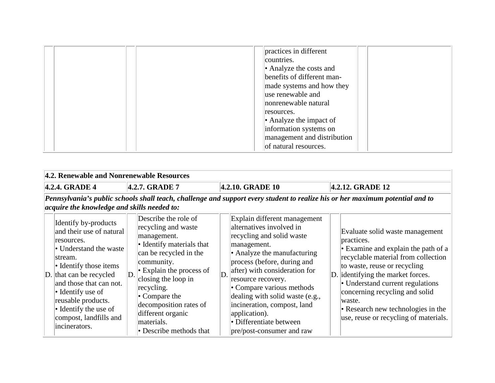| practices in different<br>countries.<br>• Analyze the costs and<br>benefits of different man-<br>made systems and how they<br>use renewable and |
|-------------------------------------------------------------------------------------------------------------------------------------------------|
| nonrenewable natural<br>resources.<br>$\bullet$ Analyze the impact of<br>information systems on                                                 |
| management and distribution<br>of natural resources.                                                                                            |

|                                                                          | 4.2. Renewable and Nonrenewable Resources                                                                                                                                                                                                                               |    |                                                                                                                                                                                                                         |                                                                                                      |                                                                                                                                                                                                                                                                                                                                                                                                                            |                                                                                       |                                                                                                                                                                                                                                                                        |  |  |
|--------------------------------------------------------------------------|-------------------------------------------------------------------------------------------------------------------------------------------------------------------------------------------------------------------------------------------------------------------------|----|-------------------------------------------------------------------------------------------------------------------------------------------------------------------------------------------------------------------------|------------------------------------------------------------------------------------------------------|----------------------------------------------------------------------------------------------------------------------------------------------------------------------------------------------------------------------------------------------------------------------------------------------------------------------------------------------------------------------------------------------------------------------------|---------------------------------------------------------------------------------------|------------------------------------------------------------------------------------------------------------------------------------------------------------------------------------------------------------------------------------------------------------------------|--|--|
| 4.2.10. GRADE 10<br>4.2.12. GRADE 12<br>4.2.7. GRADE 7<br>4.2.4. GRADE 4 |                                                                                                                                                                                                                                                                         |    |                                                                                                                                                                                                                         |                                                                                                      |                                                                                                                                                                                                                                                                                                                                                                                                                            |                                                                                       |                                                                                                                                                                                                                                                                        |  |  |
|                                                                          | acquire the knowledge and skills needed to:<br>Identify by-products<br>and their use of natural<br>resources.<br>• Understand the waste<br>stream.<br>• Identify those items<br>$\vert$ D. that can be recycled<br>and those that can not.<br>$\bullet$ Identify use of | D. | Describe the role of<br>recycling and waste<br>management.<br>• Identify materials that<br>can be recycled in the<br>community.<br>$\cdot$ Explain the process of<br>closing the loop in<br>recycling.<br>• Compare the | D.                                                                                                   | Pennsylvania's public schools shall teach, challenge and support every student to realize his or her maximum potential and to<br>Explain different management<br>alternatives involved in<br>recycling and solid waste<br>management.<br>• Analyze the manufacturing<br>process (before, during and<br>after) with consideration for<br>resource recovery.<br>• Compare various methods<br>dealing with solid waste (e.g., |                                                                                       | Evaluate solid waste management<br>practices.<br>• Examine and explain the path of a<br>recyclable material from collection<br>to waste, reuse or recycling<br>D. identifying the market forces.<br>• Understand current regulations<br>concerning recycling and solid |  |  |
|                                                                          | reusable products.<br>$\bullet$ Identify the use of<br>compost, landfills and<br>incinerators.                                                                                                                                                                          |    | decomposition rates of<br>different organic<br>materials.<br>• Describe methods that                                                                                                                                    | incineration, compost, land<br>application).<br>• Differentiate between<br>pre/post-consumer and raw |                                                                                                                                                                                                                                                                                                                                                                                                                            | waste.<br>• Research new technologies in the<br>use, reuse or recycling of materials. |                                                                                                                                                                                                                                                                        |  |  |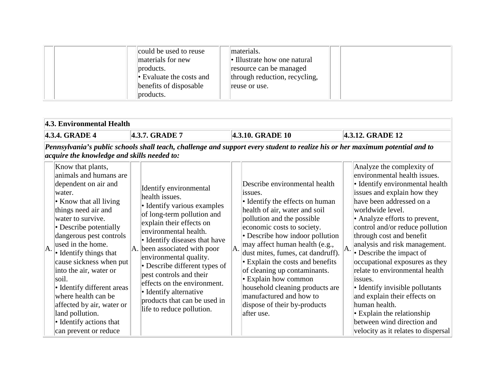$\sim$ 

|     | 4.3. Environmental Health                                                                                                                                                                                                                                                                                                                                                                                                                                         |                  |                                                                                                                                                                                                                                                                                                                                                                                                                                                      |                                                                                                                               |                                                                                                                                                                                                                                                                                                                                                                                                                                                                                            |                           |                                                                                                                                                                                                                                                                                                                                                                                                                                                                                                                                                                                         |  |  |  |
|-----|-------------------------------------------------------------------------------------------------------------------------------------------------------------------------------------------------------------------------------------------------------------------------------------------------------------------------------------------------------------------------------------------------------------------------------------------------------------------|------------------|------------------------------------------------------------------------------------------------------------------------------------------------------------------------------------------------------------------------------------------------------------------------------------------------------------------------------------------------------------------------------------------------------------------------------------------------------|-------------------------------------------------------------------------------------------------------------------------------|--------------------------------------------------------------------------------------------------------------------------------------------------------------------------------------------------------------------------------------------------------------------------------------------------------------------------------------------------------------------------------------------------------------------------------------------------------------------------------------------|---------------------------|-----------------------------------------------------------------------------------------------------------------------------------------------------------------------------------------------------------------------------------------------------------------------------------------------------------------------------------------------------------------------------------------------------------------------------------------------------------------------------------------------------------------------------------------------------------------------------------------|--|--|--|
|     | 4.3.7. GRADE 7<br>4.3.4. GRADE 4                                                                                                                                                                                                                                                                                                                                                                                                                                  | 4.3.10. GRADE 10 | 4.3.12. GRADE 12                                                                                                                                                                                                                                                                                                                                                                                                                                     |                                                                                                                               |                                                                                                                                                                                                                                                                                                                                                                                                                                                                                            |                           |                                                                                                                                                                                                                                                                                                                                                                                                                                                                                                                                                                                         |  |  |  |
|     | acquire the knowledge and skills needed to:<br>Know that plants,                                                                                                                                                                                                                                                                                                                                                                                                  |                  |                                                                                                                                                                                                                                                                                                                                                                                                                                                      | Pennsylvania's public schools shall teach, challenge and support every student to realize his or her maximum potential and to |                                                                                                                                                                                                                                                                                                                                                                                                                                                                                            | Analyze the complexity of |                                                                                                                                                                                                                                                                                                                                                                                                                                                                                                                                                                                         |  |  |  |
| IA. | animals and humans are<br>dependent on air and<br>water.<br>• Know that all living<br>things need air and<br>water to survive.<br>• Describe potentially<br>dangerous pest controls<br>used in the home.<br>$\bullet$ Identify things that<br>cause sickness when put<br>into the air, water or<br>soil.<br>• Identify different areas<br>where health can be<br>affected by air, water or<br>land pollution.<br>• Identify actions that<br>can prevent or reduce |                  | Identify environmental<br>health issues.<br>• Identify various examples<br>of long-term pollution and<br>explain their effects on<br>environmental health.<br>• Identify diseases that have<br>$\vert A \vert$ been associated with poor<br>environmental quality.<br>• Describe different types of<br>pest controls and their<br>effects on the environment.<br>• Identify alternative<br>products that can be used in<br>life to reduce pollution. | A.                                                                                                                            | Describe environmental health<br>issues.<br>• Identify the effects on human<br>health of air, water and soil<br>pollution and the possible<br>economic costs to society.<br>• Describe how indoor pollution<br>may affect human health (e.g.,<br>dust mites, fumes, cat dandruff).<br>• Explain the costs and benefits<br>of cleaning up contaminants.<br>• Explain how common<br>household cleaning products are<br>manufactured and how to<br>dispose of their by-products<br>after use. | A.                        | environmental health issues.<br>• Identify environmental health<br>issues and explain how they<br>have been addressed on a<br>worldwide level.<br>• Analyze efforts to prevent,<br>control and/or reduce pollution<br>through cost and benefit<br>analysis and risk management.<br>• Describe the impact of<br>occupational exposures as they<br>relate to environmental health<br>issues.<br>• Identify invisible pollutants<br>and explain their effects on<br>human health.<br>$\cdot$ Explain the relationship<br>between wind direction and<br>velocity as it relates to dispersal |  |  |  |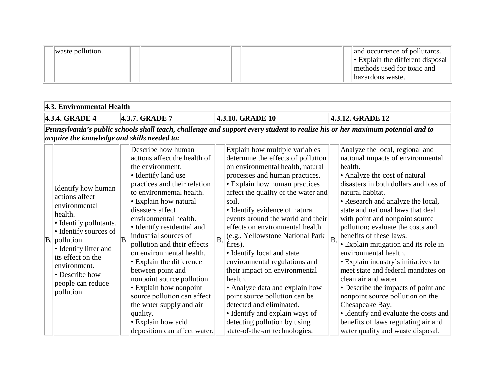| waste pollution. |  |  | and occurrence of pollutants.<br>$\cdot$ Explain the different disposal |
|------------------|--|--|-------------------------------------------------------------------------|
|                  |  |  | methods used for toxic and<br>lhazardous waste.                         |

#### **4.3. Environmental Health**

**4.3.4. GRADE 4 4.3.7. GRADE 7 4.3.10. GRADE 10 4.3.12. GRADE 12**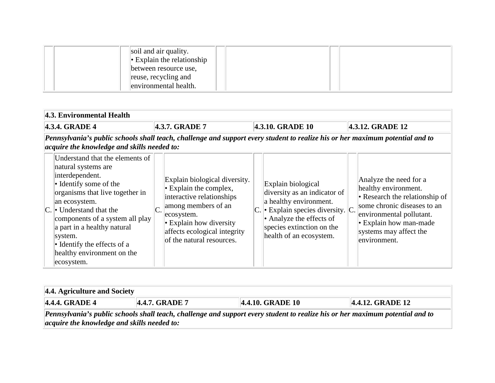| soil and air quality.<br>$\  \cdot \ ^{\bullet}$ Explain the relationship<br>between resource use,<br>reuse, recycling and |
|----------------------------------------------------------------------------------------------------------------------------|
| environmental health.                                                                                                      |

| 4.3. Environmental Health                                                                                                                                                                                                                                                                                                                    |  |                                                                                                                                                                                                                               |  |                                                                                                                                                                                                               |  |                                                                                                                                                                                                                 |  |  |
|----------------------------------------------------------------------------------------------------------------------------------------------------------------------------------------------------------------------------------------------------------------------------------------------------------------------------------------------|--|-------------------------------------------------------------------------------------------------------------------------------------------------------------------------------------------------------------------------------|--|---------------------------------------------------------------------------------------------------------------------------------------------------------------------------------------------------------------|--|-----------------------------------------------------------------------------------------------------------------------------------------------------------------------------------------------------------------|--|--|
| 4.3.7. GRADE 7<br>4.3.10. GRADE 10<br>4.3.12. GRADE 12<br>4.3.4. GRADE 4                                                                                                                                                                                                                                                                     |  |                                                                                                                                                                                                                               |  |                                                                                                                                                                                                               |  |                                                                                                                                                                                                                 |  |  |
| Pennsylvania's public schools shall teach, challenge and support every student to realize his or her maximum potential and to<br>acquire the knowledge and skills needed to:                                                                                                                                                                 |  |                                                                                                                                                                                                                               |  |                                                                                                                                                                                                               |  |                                                                                                                                                                                                                 |  |  |
| Understand that the elements of<br>natural systems are<br>interdependent.<br>• Identify some of the<br>organisms that live together in<br>an ecosystem.<br>C.  • Understand that the<br>components of a system all play<br>a part in a healthy natural<br>system.<br>• Identify the effects of a<br>healthy environment on the<br>ecosystem. |  | Explain biological diversity.<br>$\cdot$ Explain the complex,<br>interactive relationships<br>among members of an<br>ecosystem.<br>$\cdot$ Explain how diversity<br>affects ecological integrity<br>of the natural resources. |  | Explain biological<br>diversity as an indicator of<br>a healthy environment.<br>$\ $ Explain species diversity. $\ C\ $ .<br>• Analyze the effects of<br>species extinction on the<br>health of an ecosystem. |  | Analyze the need for a<br>healthy environment.<br>• Research the relationship of<br>some chronic diseases to an<br>environmental pollutant.<br>• Explain how man-made<br>systems may affect the<br>environment. |  |  |

| $\vert$ 4.4. Agriculture and Society                                                                                                                                                  |                |                  |                  |  |  |  |  |
|---------------------------------------------------------------------------------------------------------------------------------------------------------------------------------------|----------------|------------------|------------------|--|--|--|--|
| $\parallel$ 4.4.4. GRADE 4                                                                                                                                                            | 4.4.7. GRADE 7 | 4.4.10. GRADE 10 | 4.4.12. GRADE 12 |  |  |  |  |
| Pennsylvania's public schools shall teach, challenge and support every student to realize his or her maximum potential and to<br>$\alpha$ acquire the knowledge and skills needed to: |                |                  |                  |  |  |  |  |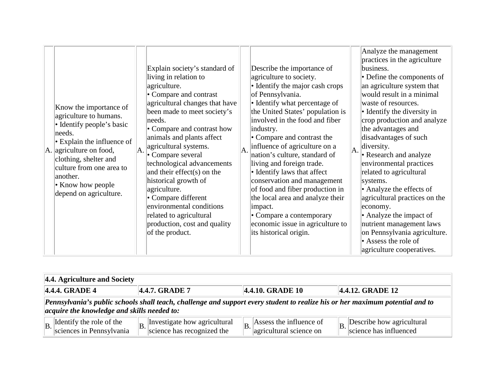|  | Know the importance of<br>agriculture to humans.<br>• Identify people's basic<br>needs.<br>$\cdot$ Explain the influence of<br>$\vert A. \vert$ agriculture on food,<br>clothing, shelter and<br>culture from one area to<br>another.<br>• Know how people<br>depend on agriculture. |  | Explain society's standard of<br>living in relation to<br>agriculture.<br>• Compare and contrast<br>agricultural changes that have<br>been made to meet society's<br>needs.<br>• Compare and contrast how<br>animals and plants affect<br>agricultural systems.<br>$\ A.\ $ Compare several<br>technological advancements<br>and their effect(s) on the<br>historical growth of<br>agriculture.<br>• Compare different<br>environmental conditions<br>related to agricultural<br>production, cost and quality<br>of the product. | A. | Describe the importance of<br>agriculture to society.<br>• Identify the major cash crops<br>of Pennsylvania.<br>• Identify what percentage of<br>the United States' population is<br>involved in the food and fiber<br>industry.<br>• Compare and contrast the<br>influence of agriculture on a<br>nation's culture, standard of<br>living and foreign trade.<br>• Identify laws that affect<br>conservation and management<br>of food and fiber production in<br>the local area and analyze their<br>impact.<br>• Compare a contemporary<br>economic issue in agriculture to<br>its historical origin. |  | Analyze the management<br>practices in the agriculture<br>business.<br>• Define the components of<br>an agriculture system that<br>would result in a minimal<br>waste of resources.<br>• Identify the diversity in<br>crop production and analyze<br>the advantages and<br>disadvantages of such<br>diversity.<br>$\left\  A. \right\ $ Research and analyze<br>environmental practices<br>related to agricultural<br>systems.<br>• Analyze the effects of<br>agricultural practices on the<br>economy.<br>• Analyze the impact of<br>nutrient management laws<br>on Pennsylvania agriculture.<br>$\cdot$ Assess the role of<br>agriculture cooperatives. |
|--|--------------------------------------------------------------------------------------------------------------------------------------------------------------------------------------------------------------------------------------------------------------------------------------|--|----------------------------------------------------------------------------------------------------------------------------------------------------------------------------------------------------------------------------------------------------------------------------------------------------------------------------------------------------------------------------------------------------------------------------------------------------------------------------------------------------------------------------------|----|---------------------------------------------------------------------------------------------------------------------------------------------------------------------------------------------------------------------------------------------------------------------------------------------------------------------------------------------------------------------------------------------------------------------------------------------------------------------------------------------------------------------------------------------------------------------------------------------------------|--|-----------------------------------------------------------------------------------------------------------------------------------------------------------------------------------------------------------------------------------------------------------------------------------------------------------------------------------------------------------------------------------------------------------------------------------------------------------------------------------------------------------------------------------------------------------------------------------------------------------------------------------------------------------|
|--|--------------------------------------------------------------------------------------------------------------------------------------------------------------------------------------------------------------------------------------------------------------------------------------|--|----------------------------------------------------------------------------------------------------------------------------------------------------------------------------------------------------------------------------------------------------------------------------------------------------------------------------------------------------------------------------------------------------------------------------------------------------------------------------------------------------------------------------------|----|---------------------------------------------------------------------------------------------------------------------------------------------------------------------------------------------------------------------------------------------------------------------------------------------------------------------------------------------------------------------------------------------------------------------------------------------------------------------------------------------------------------------------------------------------------------------------------------------------------|--|-----------------------------------------------------------------------------------------------------------------------------------------------------------------------------------------------------------------------------------------------------------------------------------------------------------------------------------------------------------------------------------------------------------------------------------------------------------------------------------------------------------------------------------------------------------------------------------------------------------------------------------------------------------|

| 4.4. Agriculture and Society                                                                                                                                                 |  |                                                            |  |                                                                               |  |                                                                                 |  |
|------------------------------------------------------------------------------------------------------------------------------------------------------------------------------|--|------------------------------------------------------------|--|-------------------------------------------------------------------------------|--|---------------------------------------------------------------------------------|--|
| 4.4.4. GRADE 4<br>4.4.10. GRADE 10<br>4.4.7. GRADE 7<br>4.4.12. GRADE 12                                                                                                     |  |                                                            |  |                                                                               |  |                                                                                 |  |
| Pennsylvania's public schools shall teach, challenge and support every student to realize his or her maximum potential and to<br>acquire the knowledge and skills needed to: |  |                                                            |  |                                                                               |  |                                                                                 |  |
| $\left  \text{B} \right $ Identify the role of the sciences in Pennsylvania                                                                                                  |  | Investigate how agricultural<br>science has recognized the |  | $\parallel$ <sub>B</sub> . Assess the influence of<br>agricultural science on |  | Describe how agricultural<br>$\left \mathbf{B}\right $ . science has influenced |  |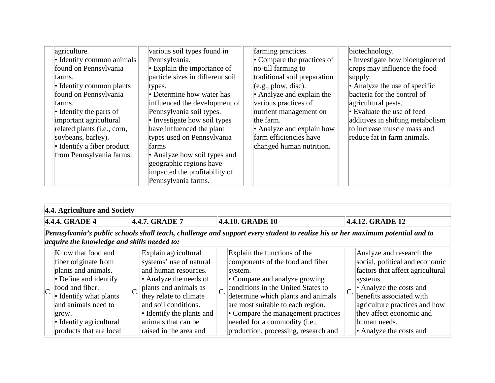| agriculture.<br>• Identify common animals<br>found on Pennsylvania<br>farms.<br>• Identify common plants<br>found on Pennsylvania<br>farms.<br>$\bullet$ Identify the parts of<br>important agricultural<br>related plants (i.e., corn,<br>soybeans, barley).<br>• Identify a fiber product<br>from Pennsylvania farms. | various soil types found in<br>Pennsylvania.<br>$\cdot$ Explain the importance of<br>particle sizes in different soil<br>types.<br>• Determine how water has<br>influenced the development of<br>Pennsylvania soil types.<br>• Investigate how soil types<br>have influenced the plant<br>types used on Pennsylvania<br>farms<br>• Analyze how soil types and<br>geographic regions have<br>impacted the profitability of<br>Pennsylvania farms. | farming practices.<br>• Compare the practices of<br>no-till farming to<br>traditional soil preparation<br>(e.g., plow, disc).<br>• Analyze and explain the<br>various practices of<br>nutrient management on<br>the farm.<br>• Analyze and explain how<br>farm efficiencies have<br>changed human nutrition. | biotechnology.<br>• Investigate how bioengineered<br>crops may influence the food<br>supply.<br>• Analyze the use of specific<br>bacteria for the control of<br>agricultural pests.<br>$\bullet$ Evaluate the use of feed<br>additives in shifting metabolism<br>to increase muscle mass and<br>reduce fat in farm animals. |
|-------------------------------------------------------------------------------------------------------------------------------------------------------------------------------------------------------------------------------------------------------------------------------------------------------------------------|--------------------------------------------------------------------------------------------------------------------------------------------------------------------------------------------------------------------------------------------------------------------------------------------------------------------------------------------------------------------------------------------------------------------------------------------------|--------------------------------------------------------------------------------------------------------------------------------------------------------------------------------------------------------------------------------------------------------------------------------------------------------------|-----------------------------------------------------------------------------------------------------------------------------------------------------------------------------------------------------------------------------------------------------------------------------------------------------------------------------|
|-------------------------------------------------------------------------------------------------------------------------------------------------------------------------------------------------------------------------------------------------------------------------------------------------------------------------|--------------------------------------------------------------------------------------------------------------------------------------------------------------------------------------------------------------------------------------------------------------------------------------------------------------------------------------------------------------------------------------------------------------------------------------------------|--------------------------------------------------------------------------------------------------------------------------------------------------------------------------------------------------------------------------------------------------------------------------------------------------------------|-----------------------------------------------------------------------------------------------------------------------------------------------------------------------------------------------------------------------------------------------------------------------------------------------------------------------------|

| 4.4. Agriculture and Society                                                                                                                                                                                                          |  |                                                                                                                                                                                                                                                            |    |                                                                                                                                                                                                                                                                                                                                                       |  |                                                                                                                                                                                                                                                                           |  |
|---------------------------------------------------------------------------------------------------------------------------------------------------------------------------------------------------------------------------------------|--|------------------------------------------------------------------------------------------------------------------------------------------------------------------------------------------------------------------------------------------------------------|----|-------------------------------------------------------------------------------------------------------------------------------------------------------------------------------------------------------------------------------------------------------------------------------------------------------------------------------------------------------|--|---------------------------------------------------------------------------------------------------------------------------------------------------------------------------------------------------------------------------------------------------------------------------|--|
| 4.4.10. GRADE 10<br>4.4.4. GRADE 4<br>4.4.7. GRADE 7<br>4.4.12. GRADE 12                                                                                                                                                              |  |                                                                                                                                                                                                                                                            |    |                                                                                                                                                                                                                                                                                                                                                       |  |                                                                                                                                                                                                                                                                           |  |
| Pennsylvania's public schools shall teach, challenge and support every student to realize his or her maximum potential and to<br>acquire the knowledge and skills needed to:                                                          |  |                                                                                                                                                                                                                                                            |    |                                                                                                                                                                                                                                                                                                                                                       |  |                                                                                                                                                                                                                                                                           |  |
| Know that food and<br>fiber originate from<br>plants and animals.<br>$\bullet$ Define and identify<br>food and fiber.<br>• Identify what plants<br>and animals need to<br>grow.<br>• Identify agricultural<br>products that are local |  | Explain agricultural<br>systems' use of natural<br>and human resources.<br>• Analyze the needs of<br>plants and animals as<br>they relate to climate<br>and soil conditions.<br>• Identify the plants and<br>animals that can be<br>raised in the area and | C. | Explain the functions of the<br>components of the food and fiber<br>system.<br>• Compare and analyze growing<br>conditions in the United States to<br>determine which plants and animals<br>are most suitable to each region.<br>• Compare the management practices<br>needed for a commodity ( <i>i.e.</i> ,<br>production, processing, research and |  | Analyze and research the<br>social, political and economic<br>factors that affect agricultural<br>systems.<br>• Analyze the costs and<br>benefits associated with<br>agriculture practices and how<br>they affect economic and<br>human needs.<br>• Analyze the costs and |  |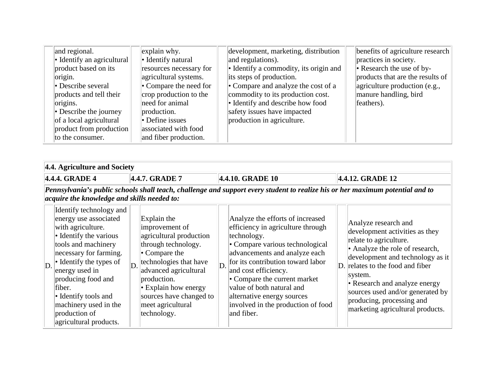| and regional.<br>• Identify an agricultural<br>product based on its<br>origin.<br>• Describe several<br>products and tell their<br>origins.<br>• Describe the journey<br>of a local agricultural<br>product from production<br>to the consumer. | explain why.<br>• Identify natural<br>resources necessary for<br>agricultural systems.<br>• Compare the need for<br>crop production to the<br>need for animal<br>production.<br>• Define issues<br>associated with food<br>and fiber production. | development, marketing, distribution<br>and regulations).<br>• Identify a commodity, its origin and<br>its steps of production.<br>• Compare and analyze the cost of a<br>commodity to its production cost.<br>• Identify and describe how food<br>safety issues have impacted<br>production in agriculture. | benefits of agriculture research<br>practices in society.<br>$\  \cdot \ $ Research the use of by-<br>products that are the results of<br>agriculture production (e.g.,<br>manure handling, bird<br>feathers). |
|-------------------------------------------------------------------------------------------------------------------------------------------------------------------------------------------------------------------------------------------------|--------------------------------------------------------------------------------------------------------------------------------------------------------------------------------------------------------------------------------------------------|--------------------------------------------------------------------------------------------------------------------------------------------------------------------------------------------------------------------------------------------------------------------------------------------------------------|----------------------------------------------------------------------------------------------------------------------------------------------------------------------------------------------------------------|
|-------------------------------------------------------------------------------------------------------------------------------------------------------------------------------------------------------------------------------------------------|--------------------------------------------------------------------------------------------------------------------------------------------------------------------------------------------------------------------------------------------------|--------------------------------------------------------------------------------------------------------------------------------------------------------------------------------------------------------------------------------------------------------------------------------------------------------------|----------------------------------------------------------------------------------------------------------------------------------------------------------------------------------------------------------------|

| 4.4. Agriculture and Society                                                                                                                                                                                                                                                                                                            |    |                                                                                                                                                                                                                                                                       |               |                                                                                                                                                                                                                                                                                                                                                                      |  |                                                                                                                                                                                                                                                                                                                                              |  |  |
|-----------------------------------------------------------------------------------------------------------------------------------------------------------------------------------------------------------------------------------------------------------------------------------------------------------------------------------------|----|-----------------------------------------------------------------------------------------------------------------------------------------------------------------------------------------------------------------------------------------------------------------------|---------------|----------------------------------------------------------------------------------------------------------------------------------------------------------------------------------------------------------------------------------------------------------------------------------------------------------------------------------------------------------------------|--|----------------------------------------------------------------------------------------------------------------------------------------------------------------------------------------------------------------------------------------------------------------------------------------------------------------------------------------------|--|--|
| 4.4.4. GRADE 4                                                                                                                                                                                                                                                                                                                          |    | 4.4.7. GRADE 7                                                                                                                                                                                                                                                        |               | 4.4.10. GRADE 10                                                                                                                                                                                                                                                                                                                                                     |  | 4.4.12. GRADE 12                                                                                                                                                                                                                                                                                                                             |  |  |
| Pennsylvania's public schools shall teach, challenge and support every student to realize his or her maximum potential and to<br>acquire the knowledge and skills needed to:                                                                                                                                                            |    |                                                                                                                                                                                                                                                                       |               |                                                                                                                                                                                                                                                                                                                                                                      |  |                                                                                                                                                                                                                                                                                                                                              |  |  |
| Identify technology and<br>energy use associated<br>with agriculture.<br>• Identify the various<br>tools and machinery<br>necessary for farming.<br>$\bullet$ Identify the types of<br>D.<br>energy used in<br>producing food and<br>fiber.<br>• Identify tools and<br>machinery used in the<br>production of<br>agricultural products. | D. | Explain the<br>improvement of<br>agricultural production<br>through technology.<br>$\cdot$ Compare the<br>technologies that have<br>advanced agricultural<br>production.<br>$\cdot$ Explain how energy<br>sources have changed to<br>meet agricultural<br>technology. | $\mathbb{D}.$ | Analyze the efforts of increased<br>efficiency in agriculture through<br>technology.<br>• Compare various technological<br>advancements and analyze each<br>for its contribution toward labor<br>and cost efficiency.<br>• Compare the current market<br>value of both natural and<br>alternative energy sources<br>involved in the production of food<br>and fiber. |  | Analyze research and<br>development activities as they<br>relate to agriculture.<br>• Analyze the role of research,<br>development and technology as it<br>D. relates to the food and fiber<br>system.<br>• Research and analyze energy<br>sources used and/or generated by<br>producing, processing and<br>marketing agricultural products. |  |  |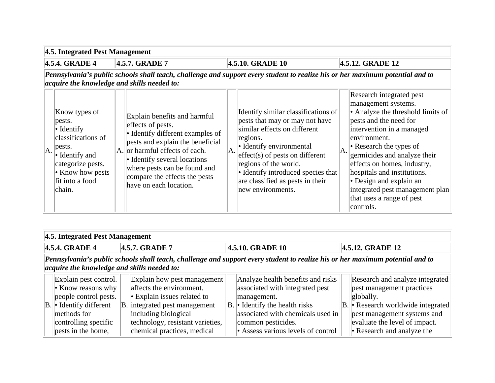**4.5. Integrated Pest Management**

**4.5.4. GRADE 4 4.5.7. GRADE 7 4.5.10. GRADE 10 4.5.12. GRADE 12**

|     |                                                                                              |                                                                                                                                                           |     |                                                                                                                                                            |     | Research integrated pest                                                                                                                                                                           |
|-----|----------------------------------------------------------------------------------------------|-----------------------------------------------------------------------------------------------------------------------------------------------------------|-----|------------------------------------------------------------------------------------------------------------------------------------------------------------|-----|----------------------------------------------------------------------------------------------------------------------------------------------------------------------------------------------------|
|     | Know types of<br>pests.<br>$\bullet$ Identify<br>classifications of<br>pests.                | Explain benefits and harmful<br>effects of pests.<br>• Identify different examples of<br>pests and explain the beneficial                                 |     | Identify similar classifications of<br>pests that may or may not have<br>similar effects on different<br>regions.<br>• Identify environmental              |     | management systems.<br>• Analyze the threshold limits of<br>pests and the need for<br>intervention in a managed<br>environment.<br>• Research the types of                                         |
| IA. | $\bullet$ Identify and<br>categorize pests.<br>• Know how pests<br>fit into a food<br>chain. | A. or harmful effects of each.<br>• Identify several locations<br>where pests can be found and<br>compare the effects the pests<br>have on each location. | IA. | $leftect(s)$ of pests on different<br>regions of the world.<br>• Identify introduced species that<br>are classified as pests in their<br>new environments. | IA. | germicides and analyze their<br>effects on homes, industry,<br>hospitals and institutions.<br>• Design and explain an<br>integrated pest management plan<br>that uses a range of pest<br>controls. |

|                                                                                                                                                                              | 4.5. Integrated Pest Management                                                                                                                               |  |                                                                                                                                                                                                                          |  |                                                                                                                                                                                                                         |  |                                                                                                                                                                                                                |  |  |
|------------------------------------------------------------------------------------------------------------------------------------------------------------------------------|---------------------------------------------------------------------------------------------------------------------------------------------------------------|--|--------------------------------------------------------------------------------------------------------------------------------------------------------------------------------------------------------------------------|--|-------------------------------------------------------------------------------------------------------------------------------------------------------------------------------------------------------------------------|--|----------------------------------------------------------------------------------------------------------------------------------------------------------------------------------------------------------------|--|--|
|                                                                                                                                                                              | 4.5.4. GRADE 4                                                                                                                                                |  | 4.5.7. GRADE 7                                                                                                                                                                                                           |  | 4.5.10. GRADE 10                                                                                                                                                                                                        |  | 4.5.12. GRADE 12                                                                                                                                                                                               |  |  |
| Pennsylvania's public schools shall teach, challenge and support every student to realize his or her maximum potential and to<br>acquire the knowledge and skills needed to: |                                                                                                                                                               |  |                                                                                                                                                                                                                          |  |                                                                                                                                                                                                                         |  |                                                                                                                                                                                                                |  |  |
|                                                                                                                                                                              | Explain pest control.<br>• Know reasons why<br>people control pests.<br>$ B $ Identify different<br>methods for<br>controlling specific<br>pests in the home, |  | Explain how pest management<br>affects the environment.<br>$\cdot$ Explain issues related to<br>B. integrated pest management<br>including biological<br>technology, resistant varieties,<br>chemical practices, medical |  | Analyze health benefits and risks<br>associated with integrated pest<br>management.<br>$ B $ Identify the health risks<br>associated with chemicals used in<br>common pesticides.<br>• Assess various levels of control |  | Research and analyze integrated<br>pest management practices<br>globally.<br>$ B $ Research worldwide integrated<br>pest management systems and<br>evaluate the level of impact.<br>• Research and analyze the |  |  |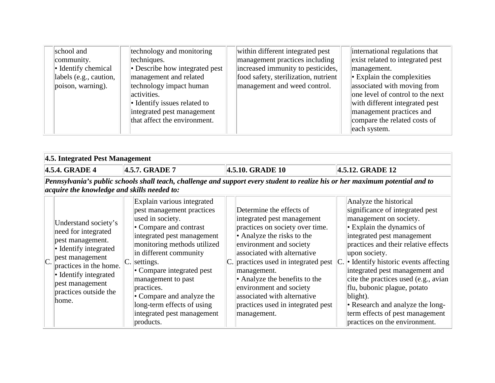| school and<br>community.<br>• Identify chemical<br>labels (e.g., caution,<br>poison, warning). | technology and monitoring<br>techniques.<br>• Describe how integrated pest<br>management and related<br>technology impact human<br>activities.<br>• Identify issues related to<br>integrated pest management<br>that affect the environment. | within different integrated pest<br>management practices including<br>increased immunity to pesticides,<br>food safety, sterilization, nutrient<br>management and weed control. | international regulations that<br>exist related to integrated pest<br>management.<br>$\cdot$ Explain the complexities<br>associated with moving from<br>one level of control to the next<br>with different integrated pest<br>management practices and<br>compare the related costs of<br>each system. |
|------------------------------------------------------------------------------------------------|----------------------------------------------------------------------------------------------------------------------------------------------------------------------------------------------------------------------------------------------|---------------------------------------------------------------------------------------------------------------------------------------------------------------------------------|--------------------------------------------------------------------------------------------------------------------------------------------------------------------------------------------------------------------------------------------------------------------------------------------------------|
|------------------------------------------------------------------------------------------------|----------------------------------------------------------------------------------------------------------------------------------------------------------------------------------------------------------------------------------------------|---------------------------------------------------------------------------------------------------------------------------------------------------------------------------------|--------------------------------------------------------------------------------------------------------------------------------------------------------------------------------------------------------------------------------------------------------------------------------------------------------|

|    | 4.5. Integrated Pest Management                                                                                                                                                                                     |    |                                                                                                                                                                                                                                                                                                                                                                                  |                  |                                                                                                                                                                                                                                                                                                                                                                                         |     |                                                                                                                                                                                                                                                                                                                                                                                                                                                                                    |  |
|----|---------------------------------------------------------------------------------------------------------------------------------------------------------------------------------------------------------------------|----|----------------------------------------------------------------------------------------------------------------------------------------------------------------------------------------------------------------------------------------------------------------------------------------------------------------------------------------------------------------------------------|------------------|-----------------------------------------------------------------------------------------------------------------------------------------------------------------------------------------------------------------------------------------------------------------------------------------------------------------------------------------------------------------------------------------|-----|------------------------------------------------------------------------------------------------------------------------------------------------------------------------------------------------------------------------------------------------------------------------------------------------------------------------------------------------------------------------------------------------------------------------------------------------------------------------------------|--|
|    | 4.5.4. GRADE 4                                                                                                                                                                                                      |    | 4.5.7. GRADE 7                                                                                                                                                                                                                                                                                                                                                                   | 4.5.10. GRADE 10 |                                                                                                                                                                                                                                                                                                                                                                                         |     | 4.5.12. GRADE 12                                                                                                                                                                                                                                                                                                                                                                                                                                                                   |  |
|    | Pennsylvania's public schools shall teach, challenge and support every student to realize his or her maximum potential and to<br>acquire the knowledge and skills needed to:                                        |    |                                                                                                                                                                                                                                                                                                                                                                                  |                  |                                                                                                                                                                                                                                                                                                                                                                                         |     |                                                                                                                                                                                                                                                                                                                                                                                                                                                                                    |  |
| C. | Understand society's<br>need for integrated<br>pest management.<br>• Identify integrated<br>pest management<br>practices in the home.<br>• Identify integrated<br>pest management<br>practices outside the<br>home. | C. | Explain various integrated<br>pest management practices<br>used in society.<br>• Compare and contrast<br>integrated pest management<br>monitoring methods utilized<br>in different community<br>settings.<br>• Compare integrated pest<br>management to past<br>practices.<br>• Compare and analyze the<br>long-term effects of using<br>integrated pest management<br>products. |                  | Determine the effects of<br>integrated pest management<br>practices on society over time.<br>• Analyze the risks to the<br>environment and society<br>associated with alternative<br>C. practices used in integrated pest<br>management.<br>• Analyze the benefits to the<br>environment and society<br>associated with alternative<br>practices used in integrated pest<br>management. | IC. | Analyze the historical<br>significance of integrated pest<br>management on society.<br>$\cdot$ Explain the dynamics of<br>integrated pest management<br>practices and their relative effects<br>upon society.<br>• Identify historic events affecting<br>integrated pest management and<br>cite the practices used (e.g., avian<br>flu, bubonic plague, potato<br>blight).<br>• Research and analyze the long-<br>term effects of pest management<br>practices on the environment. |  |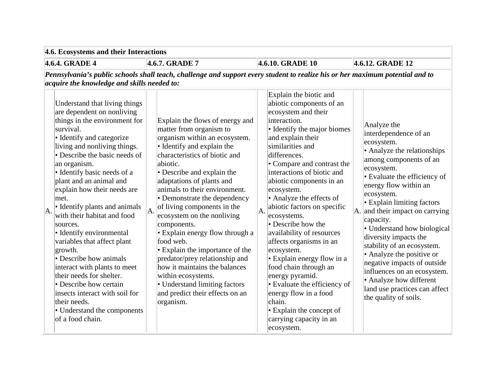**4.6. Ecosystems and their Interactions**

**4.6.4. GRADE 4 4.6.7. GRADE 7 4.6.10. GRADE 10 4.6.12. GRADE 12**

| Understand that living things<br>are dependent on nonliving<br>things in the environment for<br>survival.<br>• Identify and categorize<br>living and nonliving things.<br>• Describe the basic needs of<br>an organism.<br>• Identify basic needs of a<br>plant and an animal and<br>explain how their needs are<br>met.<br>• Identify plants and animals<br>with their habitat and food<br>sources.<br>• Identify environmental<br>variables that affect plant<br>growth.<br>• Describe how animals<br>interact with plants to meet<br>their needs for shelter.<br>• Describe how certain<br>insects interact with soil for<br>their needs.<br>• Understand the components<br>of a food chain. | A. | Explain the flows of energy and<br>matter from organism to<br>organism within an ecosystem.<br>• Identify and explain the<br>characteristics of biotic and<br>abiotic.<br>• Describe and explain the<br>adaptations of plants and<br>animals to their environment.<br>• Demonstrate the dependency<br>of living components in the<br>ecosystem on the nonliving<br>components.<br>• Explain energy flow through a<br>food web.<br>• Explain the importance of the<br>predator/prey relationship and<br>how it maintains the balances<br>within ecosystems.<br>• Understand limiting factors<br>and predict their effects on an<br>organism. | A. | Explain the biotic and<br>abiotic components of an<br>ecosystem and their<br>interaction.<br>• Identify the major biomes<br>and explain their<br>similarities and<br>differences.<br>• Compare and contrast the<br>interactions of biotic and<br>abiotic components in an<br>ecosystem.<br>• Analyze the effects of<br>abiotic factors on specific<br>ecosystems.<br>$\bullet$ Describe how the<br>availability of resources<br>affects organisms in an<br>ecosystem.<br>• Explain energy flow in a<br>food chain through an<br>energy pyramid.<br>• Evaluate the efficiency of<br>energy flow in a food<br>chain.<br>$\cdot$ Explain the concept of<br>carrying capacity in an | Analyze the<br>interdependence of an<br>ecosystem.<br>• Analyze the relationships<br>among components of an<br>ecosystem.<br>• Evaluate the efficiency of<br>energy flow within an<br>ecosystem.<br>• Explain limiting factors<br>A. and their impact on carrying<br>capacity.<br>• Understand how biological<br>diversity impacts the<br>stability of an ecosystem.<br>• Analyze the positive or<br>negative impacts of outside<br>influences on an ecosystem.<br>• Analyze how different<br>land use practices can affect<br>the quality of soils. |
|-------------------------------------------------------------------------------------------------------------------------------------------------------------------------------------------------------------------------------------------------------------------------------------------------------------------------------------------------------------------------------------------------------------------------------------------------------------------------------------------------------------------------------------------------------------------------------------------------------------------------------------------------------------------------------------------------|----|---------------------------------------------------------------------------------------------------------------------------------------------------------------------------------------------------------------------------------------------------------------------------------------------------------------------------------------------------------------------------------------------------------------------------------------------------------------------------------------------------------------------------------------------------------------------------------------------------------------------------------------------|----|---------------------------------------------------------------------------------------------------------------------------------------------------------------------------------------------------------------------------------------------------------------------------------------------------------------------------------------------------------------------------------------------------------------------------------------------------------------------------------------------------------------------------------------------------------------------------------------------------------------------------------------------------------------------------------|------------------------------------------------------------------------------------------------------------------------------------------------------------------------------------------------------------------------------------------------------------------------------------------------------------------------------------------------------------------------------------------------------------------------------------------------------------------------------------------------------------------------------------------------------|
|                                                                                                                                                                                                                                                                                                                                                                                                                                                                                                                                                                                                                                                                                                 |    |                                                                                                                                                                                                                                                                                                                                                                                                                                                                                                                                                                                                                                             |    | ecosystem.                                                                                                                                                                                                                                                                                                                                                                                                                                                                                                                                                                                                                                                                      |                                                                                                                                                                                                                                                                                                                                                                                                                                                                                                                                                      |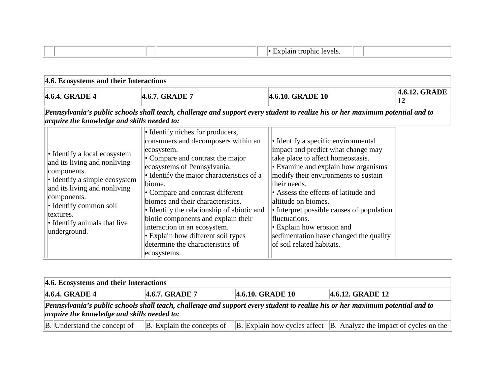|  | trophic<br>levels.<br>оған |  |
|--|----------------------------|--|
|  |                            |  |

| 4.6. Ecosystems and their Interactions                                                                                                                                                                                                             |                                                                                                                                                                                                                                                                                                                                                                                                                                                                                                        |                                                                                                                                                                                                                                                                                                                                                                                                                                                |                     |
|----------------------------------------------------------------------------------------------------------------------------------------------------------------------------------------------------------------------------------------------------|--------------------------------------------------------------------------------------------------------------------------------------------------------------------------------------------------------------------------------------------------------------------------------------------------------------------------------------------------------------------------------------------------------------------------------------------------------------------------------------------------------|------------------------------------------------------------------------------------------------------------------------------------------------------------------------------------------------------------------------------------------------------------------------------------------------------------------------------------------------------------------------------------------------------------------------------------------------|---------------------|
| 4.6.4. GRADE 4                                                                                                                                                                                                                                     | 4.6.7. GRADE 7                                                                                                                                                                                                                                                                                                                                                                                                                                                                                         | 4.6.10. GRADE 10                                                                                                                                                                                                                                                                                                                                                                                                                               | 4.6.12. GRADE<br>12 |
| acquire the knowledge and skills needed to:                                                                                                                                                                                                        | Pennsylvania's public schools shall teach, challenge and support every student to realize his or her maximum potential and to                                                                                                                                                                                                                                                                                                                                                                          |                                                                                                                                                                                                                                                                                                                                                                                                                                                |                     |
| • Identify a local ecosystem<br>and its living and nonliving<br>components.<br>• Identify a simple ecosystem<br>and its living and nonliving<br>components.<br>• Identify common soil<br>textures.<br>• Identify animals that live<br>underground. | • Identify niches for producers,<br>consumers and decomposers within an<br>ecosystem.<br>• Compare and contrast the major<br>ecosystems of Pennsylvania.<br>• Identify the major characteristics of a<br>biome.<br>• Compare and contrast different<br>biomes and their characteristics.<br>• Identify the relationship of abiotic and<br>biotic components and explain their<br>interaction in an ecosystem.<br>• Explain how different soil types<br>determine the characteristics of<br>ecosystems. | • Identify a specific environmental<br>impact and predict what change may<br>take place to affect homeostasis.<br>• Examine and explain how organisms<br>modify their environments to sustain<br>their needs.<br>• Assess the effects of latitude and<br>altitude on biomes.<br>• Interpret possible causes of population<br>fluctuations.<br>• Explain how erosion and<br>sedimentation have changed the quality<br>of soil related habitats. |                     |

| 4.6. Ecosystems and their Interactions                                              |                            |  |                                                                                                                               |  |  |  |  |  |  |  |  |
|-------------------------------------------------------------------------------------|----------------------------|--|-------------------------------------------------------------------------------------------------------------------------------|--|--|--|--|--|--|--|--|
| $ 4.6.4. \text{GRADE } 4$<br>4.6.10. GRADE 10<br>4.6.7. GRADE 7<br>4.6.12. GRADE 12 |                            |  |                                                                                                                               |  |  |  |  |  |  |  |  |
| $\alpha$ acquire the knowledge and skills needed to:                                |                            |  | Pennsylvania's public schools shall teach, challenge and support every student to realize his or her maximum potential and to |  |  |  |  |  |  |  |  |
| B. Understand the concept of                                                        | B. Explain the concepts of |  | $\vert$ B. Explain how cycles affect $\vert$ B. Analyze the impact of cycles on the $\vert$                                   |  |  |  |  |  |  |  |  |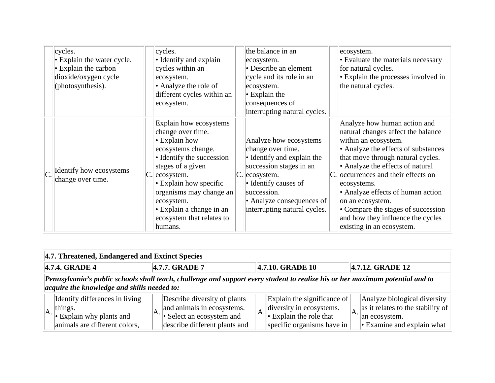|    | cycles.<br>$\cdot$ Explain the water cycle.<br>$\cdot$ Explain the carbon<br>dioxide/oxygen cycle<br>(photosynthesis). |    | cycles.<br>• Identify and explain<br>cycles within an<br>ecosystem.<br>• Analyze the role of<br>different cycles within an<br>ecosystem.                                                                                                                                                              | the balance in an<br>ecosystem.<br>• Describe an element<br>cycle and its role in an<br>ecosystem.<br>$\cdot$ Explain the<br>consequences of<br>interrupting natural cycles.                                                 | ecosystem.<br>• Evaluate the materials necessary<br>for natural cycles.<br>• Explain the processes involved in<br>the natural cycles.                                                                                                                                                                                                                                                                                             |
|----|------------------------------------------------------------------------------------------------------------------------|----|-------------------------------------------------------------------------------------------------------------------------------------------------------------------------------------------------------------------------------------------------------------------------------------------------------|------------------------------------------------------------------------------------------------------------------------------------------------------------------------------------------------------------------------------|-----------------------------------------------------------------------------------------------------------------------------------------------------------------------------------------------------------------------------------------------------------------------------------------------------------------------------------------------------------------------------------------------------------------------------------|
| C. | <b>I</b> Identify how ecosystems<br>change over time.                                                                  | C. | Explain how ecosystems<br>change over time.<br>$\cdot$ Explain how<br>ecosystems change.<br>• Identify the succession<br>stages of a given<br>ecosystem.<br>• Explain how specific<br>organisms may change an<br>ecosystem.<br>$\cdot$ Explain a change in an<br>ecosystem that relates to<br>humans. | Analyze how ecosystems<br>change over time.<br>• Identify and explain the<br>succession stages in an<br>$ C $ ecosystem.<br>• Identify causes of<br>succession.<br>• Analyze consequences of<br>interrupting natural cycles. | Analyze how human action and<br>natural changes affect the balance<br>within an ecosystem.<br>• Analyze the effects of substances<br>that move through natural cycles.<br>• Analyze the effects of natural<br>C. occurrences and their effects on<br>ecosystems.<br>• Analyze effects of human action<br>on an ecosystem.<br>• Compare the stages of succession<br>and how they influence the cycles<br>existing in an ecosystem. |

| 4.7. Threatened, Endangered and Extinct Species                                                                                                                              |  |                                                                                                                          |  |                                                                                                                                                   |     |                                                                                                                        |  |  |  |  |  |  |
|------------------------------------------------------------------------------------------------------------------------------------------------------------------------------|--|--------------------------------------------------------------------------------------------------------------------------|--|---------------------------------------------------------------------------------------------------------------------------------------------------|-----|------------------------------------------------------------------------------------------------------------------------|--|--|--|--|--|--|
| 4.7.4. GRADE 4<br>4.7.7. GRADE 7<br>4.7.12. GRADE 12<br>4.7.10. GRADE 10                                                                                                     |  |                                                                                                                          |  |                                                                                                                                                   |     |                                                                                                                        |  |  |  |  |  |  |
| Pennsylvania's public schools shall teach, challenge and support every student to realize his or her maximum potential and to<br>acquire the knowledge and skills needed to: |  |                                                                                                                          |  |                                                                                                                                                   |     |                                                                                                                        |  |  |  |  |  |  |
| Identify differences in living<br>things.<br>$\ \mathbf{A}\ $ Explain why plants and<br>animals are different colors,                                                        |  | Describe diversity of plants<br>and animals in ecosystems.<br>• Select an ecosystem and<br>describe different plants and |  | Explain the significance of<br>diversity in ecosystems.<br>$\mathbb{A}\left\  \cdot \right\ $ Explain the role that<br>specific organisms have in | IA. | Analyze biological diversity<br>as it relates to the stability of<br>an ecosystem.<br>$\cdot$ Examine and explain what |  |  |  |  |  |  |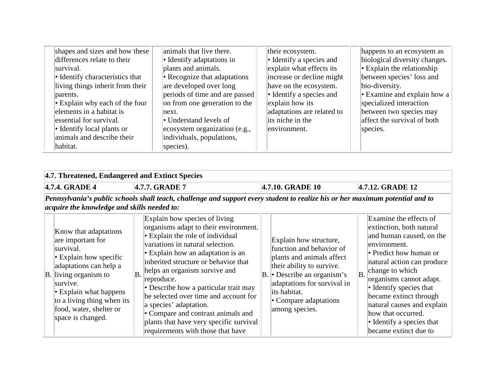| shapes and sizes and how these       | animals that live there.          | their ecosystem.               | happens to an ecosystem as        |
|--------------------------------------|-----------------------------------|--------------------------------|-----------------------------------|
| differences relate to their          | $\bullet$ Identify adaptations in | • Identify a species and       | biological diversity changes.     |
| survival.                            | plants and animals.               | explain what effects its       | $\cdot$ Explain the relationship  |
| • Identify characteristics that      | • Recognize that adaptations      | increase or decline might      | between species' loss and         |
| living things inherit from their     | are developed over long           | have on the ecosystem.         | bio-diversity.                    |
| parents.                             | periods of time and are passed    | $\cdot$ Identify a species and | $\cdot$ Examine and explain how a |
| $\cdot$ Explain why each of the four | on from one generation to the     | explain how its                | specialized interaction           |
| elements in a habitat is             | next.                             | adaptations are related to     | between two species may           |
| essential for survival.              | • Understand levels of            | its niche in the               | affect the survival of both       |
| • Identify local plants or           | ecosystem organization (e.g.,     | environment.                   | species.                          |
| animals and describe their           | individuals, populations,         |                                |                                   |
| habitat.                             | species).                         |                                |                                   |

|                                                                                                                                                                                                                                                | 4.7. Threatened, Endangered and Extinct Species                                                                                                                                                                                                                              |                                                                                                                                                                                                                                                                                                                                                                                                                                                                                                      |                                                                                                                                                                                                                                        |                                                                                                                                                                                                                                                                                                                                                         |  |  |  |  |  |  |
|------------------------------------------------------------------------------------------------------------------------------------------------------------------------------------------------------------------------------------------------|------------------------------------------------------------------------------------------------------------------------------------------------------------------------------------------------------------------------------------------------------------------------------|------------------------------------------------------------------------------------------------------------------------------------------------------------------------------------------------------------------------------------------------------------------------------------------------------------------------------------------------------------------------------------------------------------------------------------------------------------------------------------------------------|----------------------------------------------------------------------------------------------------------------------------------------------------------------------------------------------------------------------------------------|---------------------------------------------------------------------------------------------------------------------------------------------------------------------------------------------------------------------------------------------------------------------------------------------------------------------------------------------------------|--|--|--|--|--|--|
|                                                                                                                                                                                                                                                | 4.7.4. GRADE 4                                                                                                                                                                                                                                                               | 4.7.7. GRADE 7                                                                                                                                                                                                                                                                                                                                                                                                                                                                                       | 4.7.10. GRADE 10                                                                                                                                                                                                                       | 4.7.12. GRADE 12                                                                                                                                                                                                                                                                                                                                        |  |  |  |  |  |  |
| Pennsylvania's public schools shall teach, challenge and support every student to realize his or her maximum potential and to<br><i>acquire the knowledge and skills needed to:</i><br>Explain how species of living<br>Examine the effects of |                                                                                                                                                                                                                                                                              |                                                                                                                                                                                                                                                                                                                                                                                                                                                                                                      |                                                                                                                                                                                                                                        |                                                                                                                                                                                                                                                                                                                                                         |  |  |  |  |  |  |
|                                                                                                                                                                                                                                                | Know that adaptations<br>are important for<br>survival.<br>$\cdot$ Explain how specific<br>adaptations can help a<br>$\vert$ B. living organism to<br>survive.<br>$\cdot$ Explain what happens<br>to a living thing when its<br>food, water, shelter or<br>space is changed. | organisms adapt to their environment.<br>$\cdot$ Explain the role of individual<br>variations in natural selection.<br>$\cdot$ Explain how an adaptation is an<br>inherited structure or behavior that<br>helps an organism survive and<br><b>B.</b><br>reproduce.<br>• Describe how a particular trait may<br>be selected over time and account for<br>a species' adaptation.<br>• Compare and contrast animals and<br>plants that have very specific survival<br>requirements with those that have | Explain how structure,<br>function and behavior of<br>plants and animals affect<br>their ability to survive.<br>$ B $ Describe an organism's<br>adaptations for survival in<br>its habitat.<br>• Compare adaptations<br>among species. | extinction, both natural<br>and human caused, on the<br>environment.<br>• Predict how human or<br>natural action can produce<br>change to which<br>B.<br>organisms cannot adapt.<br>• Identify species that<br>became extinct through<br>natural causes and explain<br>how that occurred.<br>$\bullet$ Identify a species that<br>became extinct due to |  |  |  |  |  |  |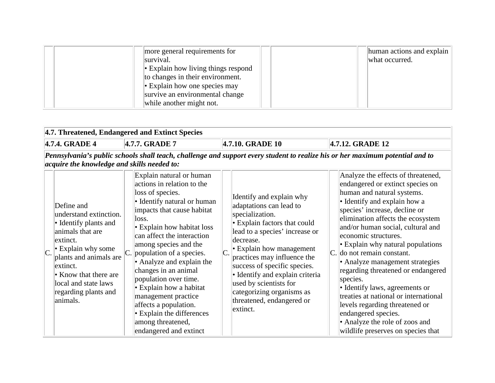|  | more general requirements for                  | human actions and explain |
|--|------------------------------------------------|---------------------------|
|  | survival.                                      | what occurred.            |
|  | $\  \cdot \$ Explain how living things respond |                           |
|  | to changes in their environment.               |                           |
|  | $\cdot$ Explain how one species may            |                           |
|  | survive an environmental change                |                           |
|  | while another might not.                       |                           |

 $\overline{a}$ 

| 4.7. Threatened, Endangered and Extinct Species                                                                                                                                                                                         |  |                                                                                                                                                                                                                                                                                                                                                 |  |                                                                                                                                                                                                                                                                                     |  |                                                                                                                                                                                                                                                                                                                                                                                                                                                                                                                                                                     |  |  |  |  |
|-----------------------------------------------------------------------------------------------------------------------------------------------------------------------------------------------------------------------------------------|--|-------------------------------------------------------------------------------------------------------------------------------------------------------------------------------------------------------------------------------------------------------------------------------------------------------------------------------------------------|--|-------------------------------------------------------------------------------------------------------------------------------------------------------------------------------------------------------------------------------------------------------------------------------------|--|---------------------------------------------------------------------------------------------------------------------------------------------------------------------------------------------------------------------------------------------------------------------------------------------------------------------------------------------------------------------------------------------------------------------------------------------------------------------------------------------------------------------------------------------------------------------|--|--|--|--|
| 4.7.4. GRADE 4                                                                                                                                                                                                                          |  | 4.7.7. GRADE 7                                                                                                                                                                                                                                                                                                                                  |  | 4.7.10. GRADE 10                                                                                                                                                                                                                                                                    |  | 4.7.12. GRADE 12                                                                                                                                                                                                                                                                                                                                                                                                                                                                                                                                                    |  |  |  |  |
| acquire the knowledge and skills needed to:<br>Define and<br>understand extinction.<br>• Identify plants and<br>animals that are<br>extinct.<br>$\cdot$ Explain why some<br>plants and animals are<br>extinct.<br>• Know that there are |  | Explain natural or human<br>actions in relation to the<br>loss of species.<br>• Identify natural or human<br>impacts that cause habitat<br>loss.<br>• Explain how habitat loss<br>can affect the interaction<br>among species and the<br>population of a species.<br>• Analyze and explain the<br>changes in an animal<br>population over time. |  | Identify and explain why<br>adaptations can lead to<br>specialization.<br>• Explain factors that could<br>lead to a species' increase or<br>decrease.<br>• Explain how management<br>practices may influence the<br>success of specific species.<br>· Identify and explain criteria |  | Pennsylvania's public schools shall teach, challenge and support every student to realize his or her maximum potential and to<br>Analyze the effects of threatened,<br>endangered or extinct species on<br>human and natural systems.<br>• Identify and explain how a<br>species' increase, decline or<br>elimination affects the ecosystem<br>and/or human social, cultural and<br>economic structures.<br>• Explain why natural populations<br>$ C $ do not remain constant.<br>• Analyze management strategies<br>regarding threatened or endangered<br>species. |  |  |  |  |
| local and state laws<br>regarding plants and<br>animals.                                                                                                                                                                                |  | • Explain how a habitat<br>management practice<br>affects a population.<br>• Explain the differences<br>among threatened,<br>endangered and extinct                                                                                                                                                                                             |  | used by scientists for<br>categorizing organisms as<br>threatened, endangered or<br>extinct.                                                                                                                                                                                        |  | • Identify laws, agreements or<br>treaties at national or international<br>levels regarding threatened or<br>endangered species.<br>• Analyze the role of zoos and<br>wildlife preserves on species that                                                                                                                                                                                                                                                                                                                                                            |  |  |  |  |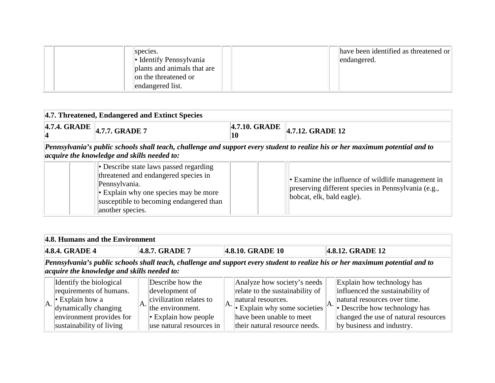|  | species.<br>$\cdot$ Identify Pennsylvania<br>plants and animals that are<br>on the threatened or<br>endangered list. |  | have been identified as threatened or<br>endangered. |
|--|----------------------------------------------------------------------------------------------------------------------|--|------------------------------------------------------|
|--|----------------------------------------------------------------------------------------------------------------------|--|------------------------------------------------------|

| 4.7. Threatened, Endangered and Extinct Species |                                                                                                                                                                                                         |               |                                                                                                                                       |  |  |  |  |  |  |  |  |
|-------------------------------------------------|---------------------------------------------------------------------------------------------------------------------------------------------------------------------------------------------------------|---------------|---------------------------------------------------------------------------------------------------------------------------------------|--|--|--|--|--|--|--|--|
|                                                 | $\overline{4.7.4.}$ GRADE $\overline{4.7.7.}$ GRADE 7                                                                                                                                                   | 4.7.10. GRADE | 4.7.12. GRADE 12                                                                                                                      |  |  |  |  |  |  |  |  |
|                                                 | Pennsylvania's public schools shall teach, challenge and support every student to realize his or her maximum potential and to<br>acquire the knowledge and skills needed to:                            |               |                                                                                                                                       |  |  |  |  |  |  |  |  |
|                                                 | • Describe state laws passed regarding<br>threatened and endangered species in<br>Pennsylvania.<br>• Explain why one species may be more<br>susceptible to becoming endangered than<br>another species. |               | • Examine the influence of wildlife management in<br>preserving different species in Pennsylvania (e.g.,<br>bobcat, elk, bald eagle). |  |  |  |  |  |  |  |  |

|                                                                                                                                                                              | 4.8. Humans and the Environment                                                                                                                             |     |                                                                                                                                             |  |                                                                                                                                                                                                               |  |                                                                                                                                                                                                      |  |  |  |  |  |
|------------------------------------------------------------------------------------------------------------------------------------------------------------------------------|-------------------------------------------------------------------------------------------------------------------------------------------------------------|-----|---------------------------------------------------------------------------------------------------------------------------------------------|--|---------------------------------------------------------------------------------------------------------------------------------------------------------------------------------------------------------------|--|------------------------------------------------------------------------------------------------------------------------------------------------------------------------------------------------------|--|--|--|--|--|
|                                                                                                                                                                              | 4.8.4. GRADE 4<br>4.8.10. GRADE 10<br>4.8.7. GRADE 7<br>4.8.12. GRADE 12                                                                                    |     |                                                                                                                                             |  |                                                                                                                                                                                                               |  |                                                                                                                                                                                                      |  |  |  |  |  |
| Pennsylvania's public schools shall teach, challenge and support every student to realize his or her maximum potential and to<br>acquire the knowledge and skills needed to: |                                                                                                                                                             |     |                                                                                                                                             |  |                                                                                                                                                                                                               |  |                                                                                                                                                                                                      |  |  |  |  |  |
| IA.                                                                                                                                                                          | Identify the biological<br>requirements of humans.<br>$\cdot$ Explain how a<br>dynamically changing<br>environment provides for<br>sustainability of living | IA. | Describe how the<br>development of<br>civilization relates to<br>the environment.<br>$\cdot$ Explain how people<br>use natural resources in |  | Analyze how society's needs<br>relate to the sustainability of<br>natural resources.<br>$\mathbb{E}[\cdot]$ Explain why some societies $  A  $ .<br>have been unable to meet<br>their natural resource needs. |  | Explain how technology has<br>influenced the sustainability of<br>natural resources over time.<br>• Describe how technology has<br>changed the use of natural resources<br>by business and industry. |  |  |  |  |  |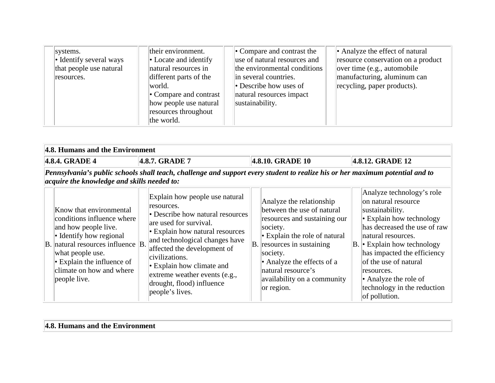| systems.<br>• Identify several ways<br>that people use natural<br>resources. | their environment.<br>$\cdot$ Locate and identify<br>natural resources in<br>different parts of the<br>world.<br>$\bullet$ Compare and contrast<br>how people use natural<br>resources throughout<br>the world. | $\bullet$ Compare and contrast the<br>use of natural resources and<br>the environmental conditions<br>in several countries.<br>$\bullet$ Describe how uses of<br>natural resources impact<br>sustainability. | • Analyze the effect of natural<br>resource conservation on a product<br>over time (e.g., automobile)<br>manufacturing, aluminum can<br>recycling, paper products). |
|------------------------------------------------------------------------------|-----------------------------------------------------------------------------------------------------------------------------------------------------------------------------------------------------------------|--------------------------------------------------------------------------------------------------------------------------------------------------------------------------------------------------------------|---------------------------------------------------------------------------------------------------------------------------------------------------------------------|
|------------------------------------------------------------------------------|-----------------------------------------------------------------------------------------------------------------------------------------------------------------------------------------------------------------|--------------------------------------------------------------------------------------------------------------------------------------------------------------------------------------------------------------|---------------------------------------------------------------------------------------------------------------------------------------------------------------------|

|                                                                          | 4.8. Humans and the Environment                                                                                                                                                                                                                   |  |                                                                                                                                                                                                                                                                                                                                                |  |                                                                                                                                                                                                                                                                                         |  |                                                                                                                                                                                                                                                                                                                                            |  |  |  |
|--------------------------------------------------------------------------|---------------------------------------------------------------------------------------------------------------------------------------------------------------------------------------------------------------------------------------------------|--|------------------------------------------------------------------------------------------------------------------------------------------------------------------------------------------------------------------------------------------------------------------------------------------------------------------------------------------------|--|-----------------------------------------------------------------------------------------------------------------------------------------------------------------------------------------------------------------------------------------------------------------------------------------|--|--------------------------------------------------------------------------------------------------------------------------------------------------------------------------------------------------------------------------------------------------------------------------------------------------------------------------------------------|--|--|--|
| 4.8.7. GRADE 7<br>4.8.10. GRADE 10<br>4.8.4. GRADE 4<br>4.8.12. GRADE 12 |                                                                                                                                                                                                                                                   |  |                                                                                                                                                                                                                                                                                                                                                |  |                                                                                                                                                                                                                                                                                         |  |                                                                                                                                                                                                                                                                                                                                            |  |  |  |
|                                                                          | Pennsylvania's public schools shall teach, challenge and support every student to realize his or her maximum potential and to<br>acquire the knowledge and skills needed to:                                                                      |  |                                                                                                                                                                                                                                                                                                                                                |  |                                                                                                                                                                                                                                                                                         |  |                                                                                                                                                                                                                                                                                                                                            |  |  |  |
|                                                                          | Know that environmental<br>conditions influence where<br>and how people live.<br>• Identify how regional<br>B. natural resources influence B.<br>what people use.<br>$\cdot$ Explain the influence of<br>climate on how and where<br>people live. |  | Explain how people use natural<br>resources.<br>• Describe how natural resources<br>are used for survival.<br>• Explain how natural resources<br>and technological changes have<br>affected the development of<br>civilizations.<br>• Explain how climate and<br>extreme weather events (e.g.,<br>drought, flood) influence<br>people's lives. |  | Analyze the relationship<br>between the use of natural<br>resources and sustaining our<br>society.<br>$\cdot$ Explain the role of natural<br>$ B $ resources in sustaining<br>society.<br>• Analyze the effects of a<br>natural resource's<br>availability on a community<br>or region. |  | Analyze technology's role<br>on natural resource<br>sustainability.<br>$\cdot$ Explain how technology<br>has decreased the use of raw<br>natural resources.<br>$ B $ Explain how technology<br>has impacted the efficiency<br>of the use of natural<br>resources.<br>• Analyze the role of<br>technology in the reduction<br>of pollution. |  |  |  |

#### **4.8. Humans and the Environment**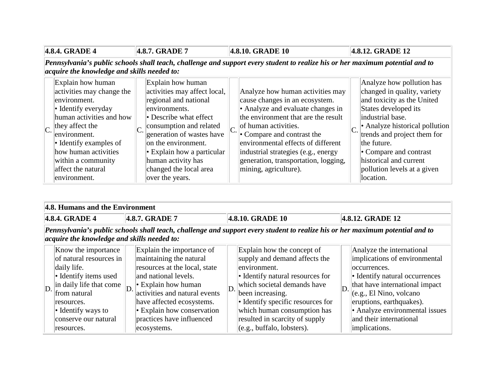| 4.8.4. GRADE 4 |                                                                                                                                                                                                                                                                                    | 4.8.7. GRADE 7 |                                                                                                                                                                                                                                                                                                             | 4.8.10. GRADE 10 |                                                                                                                                                                                                                                                                                                                                                            |  | 4.8.12. GRADE 12                                                                                                                                                                                                                                                                                                                       |  |  |
|----------------|------------------------------------------------------------------------------------------------------------------------------------------------------------------------------------------------------------------------------------------------------------------------------------|----------------|-------------------------------------------------------------------------------------------------------------------------------------------------------------------------------------------------------------------------------------------------------------------------------------------------------------|------------------|------------------------------------------------------------------------------------------------------------------------------------------------------------------------------------------------------------------------------------------------------------------------------------------------------------------------------------------------------------|--|----------------------------------------------------------------------------------------------------------------------------------------------------------------------------------------------------------------------------------------------------------------------------------------------------------------------------------------|--|--|
|                |                                                                                                                                                                                                                                                                                    |                |                                                                                                                                                                                                                                                                                                             |                  | Pennsylvania's public schools shall teach, challenge and support every student to realize his or her maximum potential and to                                                                                                                                                                                                                              |  |                                                                                                                                                                                                                                                                                                                                        |  |  |
|                | acquire the knowledge and skills needed to:                                                                                                                                                                                                                                        |                |                                                                                                                                                                                                                                                                                                             |                  |                                                                                                                                                                                                                                                                                                                                                            |  |                                                                                                                                                                                                                                                                                                                                        |  |  |
|                | Explain how human<br>activities may change the<br>environment.<br>$\bullet$ Identify everyday<br>human activities and how<br>they affect the<br>environment.<br>$\bullet$ Identify examples of<br>how human activities<br>within a community<br>affect the natural<br>environment. |                | Explain how human<br>activities may affect local,<br>regional and national<br>environments.<br>• Describe what effect<br>consumption and related<br>generation of wastes have<br>on the environment.<br>$\cdot$ Explain how a particular<br>human activity has<br>changed the local area<br>over the years. |                  | Analyze how human activities may<br>cause changes in an ecosystem.<br>• Analyze and evaluate changes in<br>the environment that are the result<br>$\ C\ $ of human activities.<br>• Compare and contrast the<br>environmental effects of different<br>industrial strategies (e.g., energy<br>generation, transportation, logging,<br>mining, agriculture). |  | Analyze how pollution has<br>changed in quality, variety<br>and toxicity as the United<br>States developed its<br>industrial base.<br>$\blacktriangleright$ Analyze historical pollution<br>trends and project them for<br>the future.<br>• Compare and contrast<br>historical and current<br>pollution levels at a given<br>location. |  |  |

| 4.8. Humans and the Environment                                                                                                                                                                                                            |  |                                                                                                                                                                                                                                                                                    |                  |                                                                                                                                                                                                                                                                                                                        |  |                                                                                                                                                                                                                                                                                     |  |
|--------------------------------------------------------------------------------------------------------------------------------------------------------------------------------------------------------------------------------------------|--|------------------------------------------------------------------------------------------------------------------------------------------------------------------------------------------------------------------------------------------------------------------------------------|------------------|------------------------------------------------------------------------------------------------------------------------------------------------------------------------------------------------------------------------------------------------------------------------------------------------------------------------|--|-------------------------------------------------------------------------------------------------------------------------------------------------------------------------------------------------------------------------------------------------------------------------------------|--|
| 4.8.4. GRADE 4                                                                                                                                                                                                                             |  | 4.8.7. GRADE 7                                                                                                                                                                                                                                                                     | 4.8.10. GRADE 10 |                                                                                                                                                                                                                                                                                                                        |  | 4.8.12. GRADE 12                                                                                                                                                                                                                                                                    |  |
| Pennsylvania's public schools shall teach, challenge and support every student to realize his or her maximum potential and to<br>acquire the knowledge and skills needed to:                                                               |  |                                                                                                                                                                                                                                                                                    |                  |                                                                                                                                                                                                                                                                                                                        |  |                                                                                                                                                                                                                                                                                     |  |
| Know the importance<br>of natural resources in<br>daily life.<br>• Identify items used<br>$\ \text{in daily life that come}\ _{D}$<br>D.<br>from natural<br>resources.<br>$\bullet$ Identify ways to<br>conserve our natural<br>resources. |  | Explain the importance of<br>maintaining the natural<br>resources at the local, state<br>and national levels.<br>$\cdot$ Explain how human<br>activities and natural events<br>have affected ecosystems.<br>• Explain how conservation<br>practices have influenced<br>ecosystems. | D.               | Explain how the concept of<br>supply and demand affects the<br>environment.<br>• Identify natural resources for<br>which societal demands have<br>been increasing.<br>• Identify specific resources for<br>which human consumption has<br>resulted in scarcity of supply<br>$(e.g., \text{buffalo}, \text{lobsters}).$ |  | Analyze the international<br>implications of environmental<br>occurrences.<br>• Identify natural occurrences<br>that have international impact<br>(e.g., El Nino, volcano<br>eruptions, earthquakes).<br>• Analyze environmental issues<br>and their international<br>implications. |  |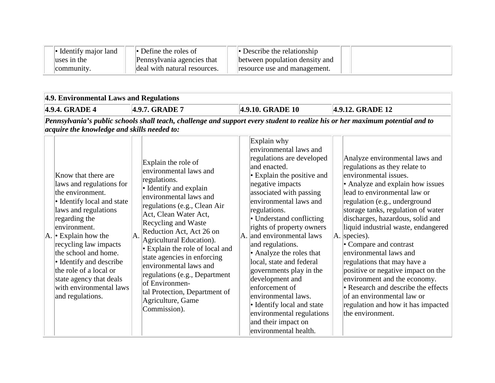| Identify maior land | $\bullet$ Define the roles of | • Describe the relationship    |  |
|---------------------|-------------------------------|--------------------------------|--|
| luses in the        | Pennsylvania agencies that    | between population density and |  |
| community.          | deal with natural resources.  | resource use and management.   |  |

| 4.9. Environmental Laws and Regulations                                                                                                                                                                                                                                                                                                                             |    |                                                                                                                                                                                                                                                                                                                                                                                                                                                                                |                  |                                                                                                                                                                                                                                                                                                                                                                                                                                                                                                                                                                                               |  |                                                                                                                                                                                                                                                                                                                                                                                                                                                                                                                                                                                                                          |  |
|---------------------------------------------------------------------------------------------------------------------------------------------------------------------------------------------------------------------------------------------------------------------------------------------------------------------------------------------------------------------|----|--------------------------------------------------------------------------------------------------------------------------------------------------------------------------------------------------------------------------------------------------------------------------------------------------------------------------------------------------------------------------------------------------------------------------------------------------------------------------------|------------------|-----------------------------------------------------------------------------------------------------------------------------------------------------------------------------------------------------------------------------------------------------------------------------------------------------------------------------------------------------------------------------------------------------------------------------------------------------------------------------------------------------------------------------------------------------------------------------------------------|--|--------------------------------------------------------------------------------------------------------------------------------------------------------------------------------------------------------------------------------------------------------------------------------------------------------------------------------------------------------------------------------------------------------------------------------------------------------------------------------------------------------------------------------------------------------------------------------------------------------------------------|--|
| 4.9.4. GRADE 4<br>4.9.7. GRADE 7                                                                                                                                                                                                                                                                                                                                    |    |                                                                                                                                                                                                                                                                                                                                                                                                                                                                                | 4.9.10. GRADE 10 |                                                                                                                                                                                                                                                                                                                                                                                                                                                                                                                                                                                               |  | 4.9.12. GRADE 12                                                                                                                                                                                                                                                                                                                                                                                                                                                                                                                                                                                                         |  |
| <i>acquire the knowledge and skills needed to:</i>                                                                                                                                                                                                                                                                                                                  |    | Pennsylvania's public schools shall teach, challenge and support every student to realize his or her maximum potential and to                                                                                                                                                                                                                                                                                                                                                  |                  |                                                                                                                                                                                                                                                                                                                                                                                                                                                                                                                                                                                               |  |                                                                                                                                                                                                                                                                                                                                                                                                                                                                                                                                                                                                                          |  |
| Know that there are<br>laws and regulations for<br>the environment.<br>• Identify local and state<br>laws and regulations<br>regarding the<br>environment.<br>$ A $ Explain how the<br>recycling law impacts<br>the school and home.<br>• Identify and describe<br>the role of a local or<br>state agency that deals<br>with environmental laws<br>and regulations. | A. | Explain the role of<br>environmental laws and<br>regulations.<br>• Identify and explain<br>environmental laws and<br>regulations (e.g., Clean Air<br>Act, Clean Water Act,<br>Recycling and Waste<br>Reduction Act, Act 26 on<br>Agricultural Education).<br>• Explain the role of local and<br>state agencies in enforcing<br>environmental laws and<br>regulations (e.g., Department<br>of Environmen-<br>tal Protection, Department of<br>Agriculture, Game<br>Commission). |                  | Explain why<br>environmental laws and<br>regulations are developed<br>and enacted.<br>• Explain the positive and<br>negative impacts<br>associated with passing<br>environmental laws and<br>regulations.<br>• Understand conflicting<br>rights of property owners<br>$\vert$ A. $\vert$ and environmental laws<br>and regulations.<br>• Analyze the roles that<br>local, state and federal<br>governments play in the<br>development and<br>enforcement of<br>environmental laws.<br>• Identify local and state<br>environmental regulations<br>and their impact on<br>environmental health. |  | Analyze environmental laws and<br>regulations as they relate to<br>environmental issues.<br>• Analyze and explain how issues<br>lead to environmental law or<br>regulation (e.g., underground<br>storage tanks, regulation of water<br>discharges, hazardous, solid and<br>liquid industrial waste, endangered<br>$A.$ species).<br>• Compare and contrast<br>environmental laws and<br>regulations that may have a<br>positive or negative impact on the<br>environment and the economy.<br>• Research and describe the effects<br>of an environmental law or<br>regulation and how it has impacted<br>the environment. |  |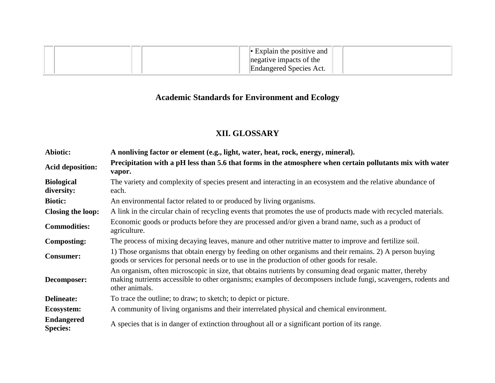|  |  | $\blacktriangleright$ Explain the positive and |  |
|--|--|------------------------------------------------|--|
|  |  | negative impacts of the                        |  |
|  |  | Endangered Species Act.                        |  |

# **Academic Standards for Environment and Ecology**

## **XII. GLOSSARY**

| Abiotic:                             | A nonliving factor or element (e.g., light, water, heat, rock, energy, mineral).                                                                                                                                                             |  |  |  |  |  |  |  |
|--------------------------------------|----------------------------------------------------------------------------------------------------------------------------------------------------------------------------------------------------------------------------------------------|--|--|--|--|--|--|--|
| <b>Acid deposition:</b>              | Precipitation with a pH less than 5.6 that forms in the atmosphere when certain pollutants mix with water<br>vapor.                                                                                                                          |  |  |  |  |  |  |  |
| <b>Biological</b><br>diversity:      | The variety and complexity of species present and interacting in an ecosystem and the relative abundance of<br>each.                                                                                                                         |  |  |  |  |  |  |  |
| <b>Biotic:</b>                       | An environmental factor related to or produced by living organisms.                                                                                                                                                                          |  |  |  |  |  |  |  |
| Closing the loop:                    | A link in the circular chain of recycling events that promotes the use of products made with recycled materials.                                                                                                                             |  |  |  |  |  |  |  |
| <b>Commodities:</b>                  | Economic goods or products before they are processed and/or given a brand name, such as a product of<br>agriculture.                                                                                                                         |  |  |  |  |  |  |  |
| <b>Composting:</b>                   | The process of mixing decaying leaves, manure and other nutritive matter to improve and fertilize soil.                                                                                                                                      |  |  |  |  |  |  |  |
| <b>Consumer:</b>                     | 1) Those organisms that obtain energy by feeding on other organisms and their remains. 2) A person buying<br>goods or services for personal needs or to use in the production of other goods for resale.                                     |  |  |  |  |  |  |  |
| Decomposer:                          | An organism, often microscopic in size, that obtains nutrients by consuming dead organic matter, thereby<br>making nutrients accessible to other organisms; examples of decomposers include fungi, scavengers, rodents and<br>other animals. |  |  |  |  |  |  |  |
| <b>Delineate:</b>                    | To trace the outline; to draw; to sketch; to depict or picture.                                                                                                                                                                              |  |  |  |  |  |  |  |
| Ecosystem:                           | A community of living organisms and their interrelated physical and chemical environment.                                                                                                                                                    |  |  |  |  |  |  |  |
| <b>Endangered</b><br><b>Species:</b> | A species that is in danger of extinction throughout all or a significant portion of its range.                                                                                                                                              |  |  |  |  |  |  |  |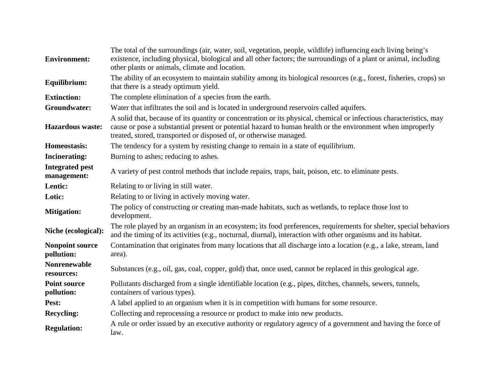| <b>Environment:</b>                   | The total of the surroundings (air, water, soil, vegetation, people, wildlife) influencing each living being's<br>existence, including physical, biological and all other factors; the surroundings of a plant or animal, including<br>other plants or animals, climate and location.                   |
|---------------------------------------|---------------------------------------------------------------------------------------------------------------------------------------------------------------------------------------------------------------------------------------------------------------------------------------------------------|
| Equilibrium:                          | The ability of an ecosystem to maintain stability among its biological resources (e.g., forest, fisheries, crops) so<br>that there is a steady optimum yield.                                                                                                                                           |
| <b>Extinction:</b>                    | The complete elimination of a species from the earth.                                                                                                                                                                                                                                                   |
| Groundwater:                          | Water that infiltrates the soil and is located in underground reservoirs called aquifers.                                                                                                                                                                                                               |
| <b>Hazardous</b> waste:               | A solid that, because of its quantity or concentration or its physical, chemical or infectious characteristics, may<br>cause or pose a substantial present or potential hazard to human health or the environment when improperly<br>treated, stored, transported or disposed of, or otherwise managed. |
| Homeostasis:                          | The tendency for a system by resisting change to remain in a state of equilibrium.                                                                                                                                                                                                                      |
| <b>Incinerating:</b>                  | Burning to ashes; reducing to ashes.                                                                                                                                                                                                                                                                    |
| <b>Integrated pest</b><br>management: | A variety of pest control methods that include repairs, traps, bait, poison, etc. to eliminate pests.                                                                                                                                                                                                   |
| Lentic:                               | Relating to or living in still water.                                                                                                                                                                                                                                                                   |
| Lotic:                                | Relating to or living in actively moving water.                                                                                                                                                                                                                                                         |
| <b>Mitigation:</b>                    | The policy of constructing or creating man-made habitats, such as wetlands, to replace those lost to<br>development.                                                                                                                                                                                    |
| Niche (ecological):                   | The role played by an organism in an ecosystem; its food preferences, requirements for shelter, special behaviors<br>and the timing of its activities (e.g., nocturnal, diurnal), interaction with other organisms and its habitat.                                                                     |
| <b>Nonpoint source</b><br>pollution:  | Contamination that originates from many locations that all discharge into a location (e.g., a lake, stream, land<br>area).                                                                                                                                                                              |
| <b>Nonrenewable</b><br>resources:     | Substances (e.g., oil, gas, coal, copper, gold) that, once used, cannot be replaced in this geological age.                                                                                                                                                                                             |
| <b>Point source</b><br>pollution:     | Pollutants discharged from a single identifiable location (e.g., pipes, ditches, channels, sewers, tunnels,<br>containers of various types).                                                                                                                                                            |
| Pest:                                 | A label applied to an organism when it is in competition with humans for some resource.                                                                                                                                                                                                                 |
| <b>Recycling:</b>                     | Collecting and reprocessing a resource or product to make into new products.                                                                                                                                                                                                                            |
| <b>Regulation:</b>                    | A rule or order issued by an executive authority or regulatory agency of a government and having the force of<br>law.                                                                                                                                                                                   |